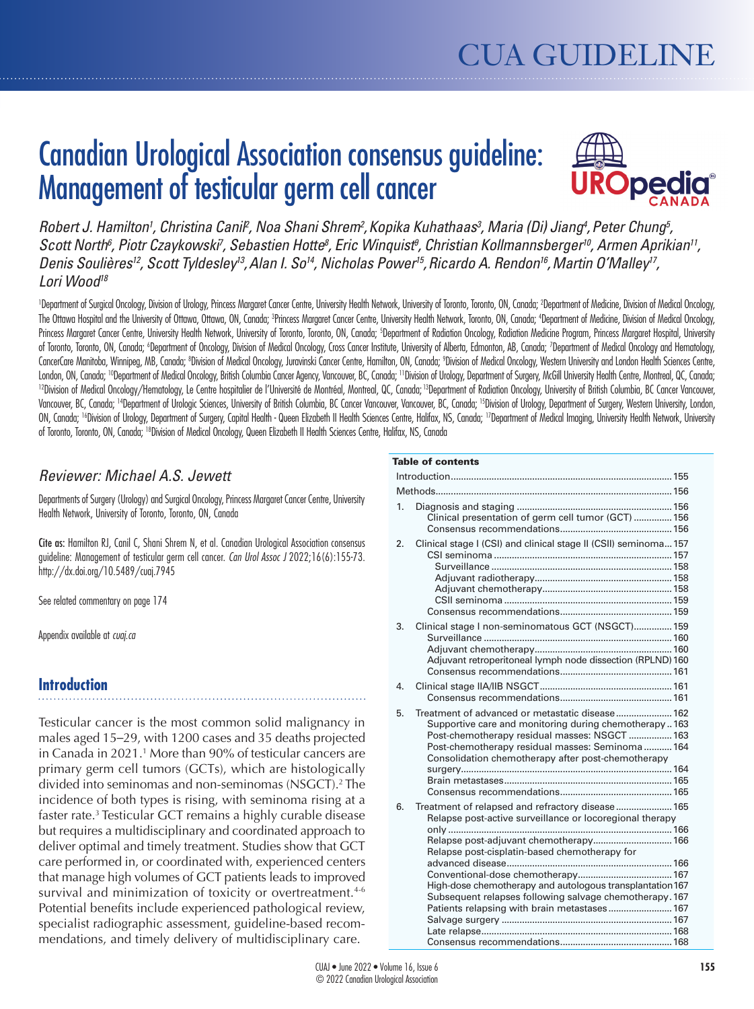# Canadian Urological Association consensus guideline: Management of testicular germ cell cancer



Robert J. Hamilton<sup>1</sup>, Christina Canil<sup>2</sup>, Noa Shani Shrem<sup>2</sup>, Kopika Kuhathaas<sup>3</sup>, Maria (Di) Jiang<sup>4</sup>, Peter Chung<sup>5</sup>, Scott North<sup>6</sup>, Piotr Czaykowski<sup>7</sup>, Sebastien Hotte<sup>8</sup>, Eric Winquist<sup>8</sup>, Christian Kollmannsberger<sup>10</sup>, Armen Aprikian<sup>11</sup>, *Denis Soulières12, Scott Tyldesley13,Alan I. So14, Nicholas Power15,Ricardo A. Rendon16,Martin O'Malley17, Lori Wood18*

'Department of Surgical Oncology, Division of Urology, Princess Margaret Cancer Centre, University Health Network, University of Toronto, Toronto, ON, Canada; 2Department of Medicine, Division of Medical Oncology, The Ottawa Hospital and the University of Ottawa, Ottawa, ON, Canada; <sup>sp</sup>rincess Margaret Cancer Centre, University Health Network, Toronto, ON, Canada; <sup>4</sup>Department of Medicine, Division of Medical Oncology, Princess Margaret Cancer Centre, University Health Network, University of Toronto, Toronto, ON, Canada; <sup>5</sup>Department of Radiation Oncology, Radiation Medicine Program, Princess Margaret Hospital, University of Toronto, Toronto, ON, Canada; 'Department of Oncology, Division of Medical Oncology, Cross Cancer Institute, University of Alberta, Edmonton, AB, Canada; 'Department of Medical Oncology and Hematology, CancerCare Manitoba, Winnipeg, MB, Canada; ®Division of Medical Oncology, Juravinski Cancer Centre, Hamilton, ON, Canada; ®Division of Medical Oncology, Western University and London Health Sciences Centre, London, ON, Canada; <sup>10</sup>Department of Medical Oncology, British Columbia Cancer Agency, Vancouver, BC, Canada; <sup>11</sup>Division of Urology, Department of Surgery, McGill University Health Centre, Montreal, QC, Canada;<br><sup>12</sup>Divi Vancouver, BC, Canada; <sup>14</sup>Department of Urologic Sciences, University of British Columbia, BC Cancer Vancouver, Vancouver, BC, Canada; <sup>15</sup>Division of Urology, Department of Surgery, Western University, London, ON, Canada; <sup>16</sup>Division of Urology, Department of Surgery, Capital Health - Queen Elizabeth II Health Sciences Centre, Halifax, NS, Canada; <sup>17</sup>Department of Medical Imaging, University Health Network, University of Toronto, Toronto, ON, Canada; <sup>18</sup>Division of Medical Oncology, Queen Elizabeth II Health Sciences Centre, Halifax, NS, Canada

Table of contents

# *Reviewer: Michael A.S. Jewett*

Departments of Surgery (Urology) and Surgical Oncology, Princess Margaret Cancer Centre, University Health Network, University of Toronto, Toronto, ON, Canada

Cite as: Hamilton RJ, Canil C, Shani Shrem N, et al*.* Canadian Urological Association consensus guideline: Management of testicular germ cell cancer. *Can Urol Assoc J* 2022;16(6):155-73. http://dx.doi.org/10.5489/cuaj.7945

See related commentary on page 174

Appendix available at *cuaj.ca*

# **Introduction**

Testicular cancer is the most common solid malignancy in males aged 15–29, with 1200 cases and 35 deaths projected in Canada in 2021.1 More than 90% of testicular cancers are primary germ cell tumors (GCTs), which are histologically divided into seminomas and non-seminomas (NSGCT).2 The incidence of both types is rising, with seminoma rising at a faster rate.<sup>3</sup> Testicular GCT remains a highly curable disease but requires a multidisciplinary and coordinated approach to deliver optimal and timely treatment. Studies show that GCT care performed in, or coordinated with, experienced centers that manage high volumes of GCT patients leads to improved survival and minimization of toxicity or overtreatment.<sup>4-6</sup> Potential benefits include experienced pathological review, specialist radiographic assessment, guideline-based recommendations, and timely delivery of multidisciplinary care.

|    | iadie of contents                                                                                                                                                                                                                                                                                                                                                               |  |  |  |
|----|---------------------------------------------------------------------------------------------------------------------------------------------------------------------------------------------------------------------------------------------------------------------------------------------------------------------------------------------------------------------------------|--|--|--|
|    |                                                                                                                                                                                                                                                                                                                                                                                 |  |  |  |
|    |                                                                                                                                                                                                                                                                                                                                                                                 |  |  |  |
| 1. | Clinical presentation of germ cell tumor (GCT)  156                                                                                                                                                                                                                                                                                                                             |  |  |  |
| 2. | Clinical stage I (CSI) and clinical stage II (CSII) seminoma 157                                                                                                                                                                                                                                                                                                                |  |  |  |
| 3. | Clinical stage I non-seminomatous GCT (NSGCT) 159<br>Adjuvant retroperitoneal lymph node dissection (RPLND) 160                                                                                                                                                                                                                                                                 |  |  |  |
| 4. |                                                                                                                                                                                                                                                                                                                                                                                 |  |  |  |
| 5. | Treatment of advanced or metastatic disease 162<br>Supportive care and monitoring during chemotherapy163<br>Post-chemotherapy residual masses: NSGCT  163<br>Post-chemotherapy residual masses: Seminoma 164<br>Consolidation chemotherapy after post-chemotherapy                                                                                                              |  |  |  |
| 6. | Treatment of relapsed and refractory disease 165<br>Relapse post-active surveillance or locoregional therapy<br>Relapse post-adjuvant chemotherapy 166<br>Relapse post-cisplatin-based chemotherapy for<br>High-dose chemotherapy and autologous transplantation 167<br>Subsequent relapses following salvage chemotherapy. 167<br>Patients relapsing with brain metastases 167 |  |  |  |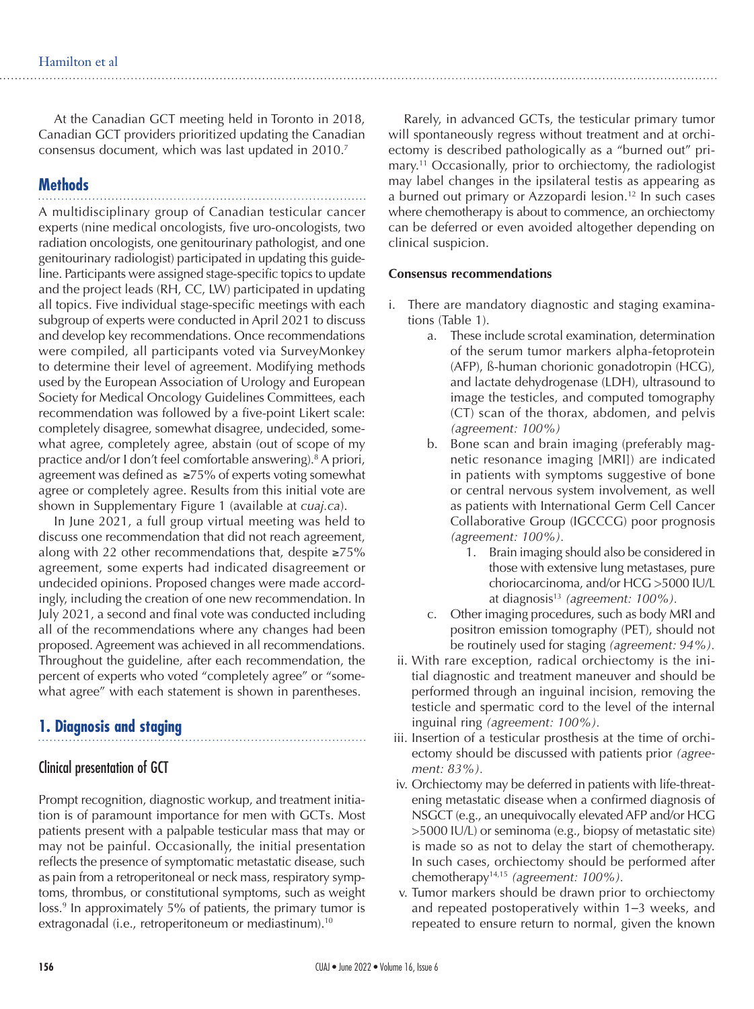At the Canadian GCT meeting held in Toronto in 2018, Canadian GCT providers prioritized updating the Canadian consensus document, which was last updated in 2010.<sup>7</sup>

# **Methods**

A multidisciplinary group of Canadian testicular cancer experts (nine medical oncologists, five uro-oncologists, two radiation oncologists, one genitourinary pathologist, and one genitourinary radiologist) participated in updating this guideline. Participants were assigned stage-specific topics to update and the project leads (RH, CC, LW) participated in updating all topics. Five individual stage-specific meetings with each subgroup of experts were conducted in April 2021 to discuss and develop key recommendations. Once recommendations were compiled, all participants voted via SurveyMonkey to determine their level of agreement. Modifying methods used by the European Association of Urology and European Society for Medical Oncology Guidelines Committees, each recommendation was followed by a five-point Likert scale: completely disagree, somewhat disagree, undecided, somewhat agree, completely agree, abstain (out of scope of my practice and/or I don't feel comfortable answering).8 A priori, agreement was defined as ≥75% of experts voting somewhat agree or completely agree. Results from this initial vote are shown in Supplementary Figure 1 (available at *cuaj.ca*).

In June 2021, a full group virtual meeting was held to discuss one recommendation that did not reach agreement, along with 22 other recommendations that, despite ≥75% agreement, some experts had indicated disagreement or undecided opinions. Proposed changes were made accordingly, including the creation of one new recommendation. In July 2021, a second and final vote was conducted including all of the recommendations where any changes had been proposed. Agreement was achieved in all recommendations. Throughout the guideline, after each recommendation, the percent of experts who voted "completely agree" or "somewhat agree" with each statement is shown in parentheses.

# **1. Diagnosis and staging**

# Clinical presentation of GCT

Prompt recognition, diagnostic workup, and treatment initiation is of paramount importance for men with GCTs. Most patients present with a palpable testicular mass that may or may not be painful. Occasionally, the initial presentation reflects the presence of symptomatic metastatic disease, such as pain from a retroperitoneal or neck mass, respiratory symptoms, thrombus, or constitutional symptoms, such as weight loss.<sup>9</sup> In approximately 5% of patients, the primary tumor is extragonadal (i.e., retroperitoneum or mediastinum).<sup>10</sup>

Rarely, in advanced GCTs, the testicular primary tumor will spontaneously regress without treatment and at orchiectomy is described pathologically as a "burned out" primary.11 Occasionally, prior to orchiectomy, the radiologist may label changes in the ipsilateral testis as appearing as a burned out primary or Azzopardi lesion.<sup>12</sup> In such cases where chemotherapy is about to commence, an orchiectomy can be deferred or even avoided altogether depending on clinical suspicion.

#### **Consensus recommendations**

- i. There are mandatory diagnostic and staging examinations (Table 1).
	- a. These include scrotal examination, determination of the serum tumor markers alpha-fetoprotein (AFP), ß-human chorionic gonadotropin (HCG), and lactate dehydrogenase (LDH), ultrasound to image the testicles, and computed tomography (CT) scan of the thorax, abdomen, and pelvis *(agreement: 100%)*
	- b. Bone scan and brain imaging (preferably magnetic resonance imaging [MRI]) are indicated in patients with symptoms suggestive of bone or central nervous system involvement, as well as patients with International Germ Cell Cancer Collaborative Group (IGCCCG) poor prognosis *(agreement: 100%).*
		- 1. Brain imaging should also be considered in those with extensive lung metastases, pure choriocarcinoma, and/or HCG >5000 IU/L at diagnosis<sup>13</sup> (agreement: 100%).
	- c. Other imaging procedures, such as body MRI and positron emission tomography (PET), should not be routinely used for staging *(agreement: 94%).*
	- ii. With rare exception, radical orchiectomy is the initial diagnostic and treatment maneuver and should be performed through an inguinal incision, removing the testicle and spermatic cord to the level of the internal inguinal ring *(agreement: 100%).*
- iii. Insertion of a testicular prosthesis at the time of orchiectomy should be discussed with patients prior *(agreement: 83%).*
- iv. Orchiectomy may be deferred in patients with life-threatening metastatic disease when a confirmed diagnosis of NSGCT (e.g., an unequivocally elevated AFP and/or HCG >5000 IU/L) or seminoma (e.g., biopsy of metastatic site) is made so as not to delay the start of chemotherapy. In such cases, orchiectomy should be performed after chemotherapy14,15 *(agreement: 100%).*
- v. Tumor markers should be drawn prior to orchiectomy and repeated postoperatively within 1–3 weeks, and repeated to ensure return to normal, given the known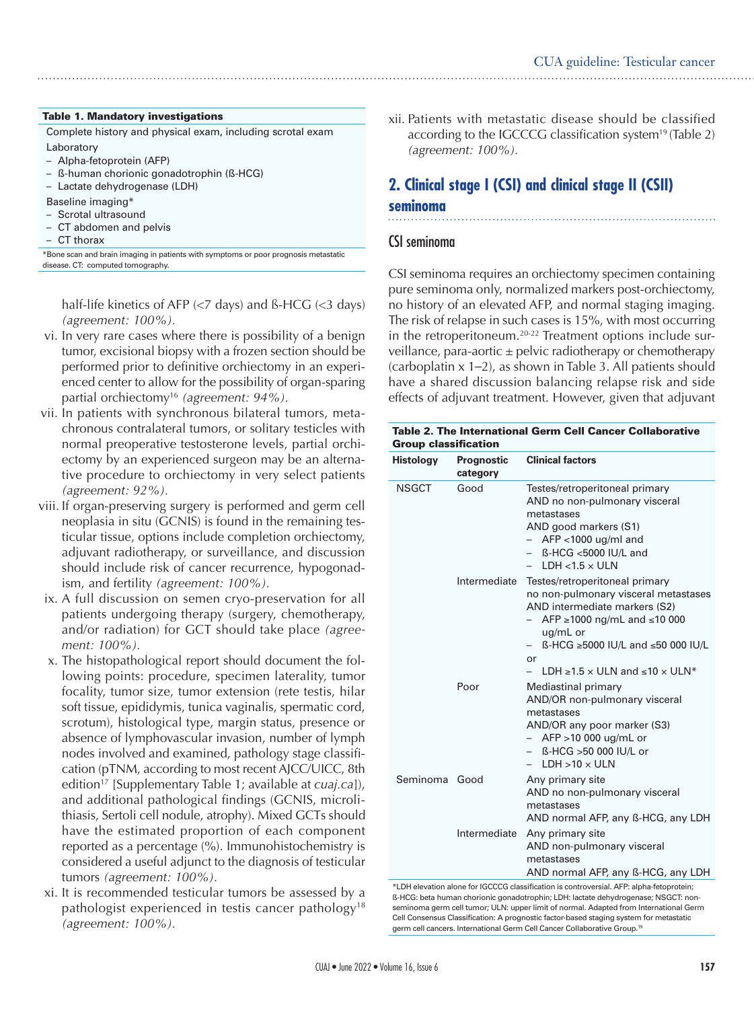#### Table 1. Mandatory investigations

Complete history and physical exam, including scrotal exam Laboratory

- Alpha-fetoprotein (AFP)
- ß-human chorionic gonadotrophin (ß-HCG)
- Lactate dehydrogenase (LDH)
- Baseline imaging\*
- Scrotal ultrasound
- CT abdomen and pelvis
- CT thorax

\*Bone scan and brain imaging in patients with symptoms or poor prognosis metastatic disease. CT: computed tomography.

half-life kinetics of AFP  $\left\langle z \right\rangle$  days) and ß-HCG  $\left\langle z \right\rangle$  days) *(agreement: 100%).*

- vi. In very rare cases where there is possibility of a benign tumor, excisional biopsy with a frozen section should be performed prior to definitive orchiectomy in an experienced center to allow for the possibility of organ-sparing partial orchiectomy16 *(agreement: 94%).*
- vii. In patients with synchronous bilateral tumors, metachronous contralateral tumors, or solitary testicles with normal preoperative testosterone levels, partial orchiectomy by an experienced surgeon may be an alternative procedure to orchiectomy in very select patients *(agreement: 92%).*
- viii. If organ-preserving surgery is performed and germ cell neoplasia in situ (GCNIS) is found in the remaining testicular tissue, options include completion orchiectomy, adjuvant radiotherapy, or surveillance, and discussion should include risk of cancer recurrence, hypogonadism, and fertility *(agreement: 100%).*
- ix. A full discussion on semen cryo-preservation for all patients undergoing therapy (surgery, chemotherapy, and/or radiation) for GCT should take place *(agreement: 100%).*
- x. The histopathological report should document the following points: procedure, specimen laterality, tumor focality, tumor size, tumor extension (rete testis, hilar soft tissue, epididymis, tunica vaginalis, spermatic cord, scrotum), histological type, margin status, presence or absence of lymphovascular invasion, number of lymph nodes involved and examined, pathology stage classification (pTNM, according to most recent AJCC/UICC, 8th edition<sup>17</sup> [Supplementary Table 1; available at *cuaj.ca*]), and additional pathological findings (GCNIS, microlithiasis, Sertoli cell nodule, atrophy). Mixed GCTs should have the estimated proportion of each component reported as a percentage (%). Immunohistochemistry is considered a useful adjunct to the diagnosis of testicular tumors *(agreement: 100%).*
- xi. It is recommended testicular tumors be assessed by a pathologist experienced in testis cancer pathology<sup>18</sup> *(agreement: 100%).*

xii. Patients with metastatic disease should be classified according to the IGCCCG classification system<sup>19</sup> (Table 2) *(agreement: 100%).*

# **2. Clinical stage I (CSI) and clinical stage II (CSII)**

## **seminoma**

# CSI seminoma

CSI seminoma requires an orchiectomy specimen containing pure seminoma only, normalized markers post-orchiectomy, no history of an elevated AFP, and normal staging imaging. The risk of relapse in such cases is 15%, with most occurring in the retroperitoneum.20-22 Treatment options include surveillance, para-aortic  $\pm$  pelvic radiotherapy or chemotherapy (carboplatin x 1–2), as shown in Table 3. All patients should have a shared discussion balancing relapse risk and side effects of adjuvant treatment. However, given that adjuvant

Table 2. The International Germ Cell Cancer Collaborative

| <b>Histology</b> | <b>Prognostic</b><br>category | <b>Clinical factors</b>                                                                                                                                                                                                                                              |
|------------------|-------------------------------|----------------------------------------------------------------------------------------------------------------------------------------------------------------------------------------------------------------------------------------------------------------------|
| <b>NSGCT</b>     | Good                          | Testes/retroperitoneal primary<br>AND no non-pulmonary visceral<br>metastases<br>AND good markers (S1)<br>$-$ AFP <1000 ug/ml and<br>ß-HCG <5000 IU/L and<br>$LDH < 1.5 \times ULN$<br>$-$                                                                           |
|                  | Intermediate                  | Testes/retroperitoneal primary<br>no non-pulmonary visceral metastases<br>AND intermediate markers (S2)<br>AFP ≥1000 ng/mL and ≤10 000<br>ug/mL or<br>ß-HCG ≥5000 IU/L and ≤50 000 IU/L<br>$\qquad \qquad -$<br>or<br>LDH $\ge$ 1.5 x ULN and $\le$ 10 x ULN*<br>$-$ |
|                  | Poor                          | Mediastinal primary<br>AND/OR non-pulmonary visceral<br>metastases<br>AND/OR any poor marker (S3)<br>AFP >10 000 ug/mL or<br>$-$<br>ß-HCG >50 000 IU/L or<br>$-$<br>$LDH > 10 \times ULN$                                                                            |
| Seminoma Good    |                               | Any primary site<br>AND no non-pulmonary visceral<br>metastases<br>AND normal AFP, any B-HCG, any LDH                                                                                                                                                                |
|                  | Intermediate                  | Any primary site<br>AND non-pulmonary visceral<br>metastases<br>AND normal AFP, any B-HCG, any LDH                                                                                                                                                                   |

evation alone for IGCCCG classification is controversial. AFP: alpha-fetoprotein ß-HCG: beta human chorionic gonadotrophin; LDH: lactate dehydrogenase; NSGCT: nonseminoma germ cell tumor; ULN: upper limit of normal. Adapted from International Germ Cell Consensus Classification: A prognostic factor-based staging system for metastatic germ cell cancers. International Germ Cell Cancer Collaborative Group.19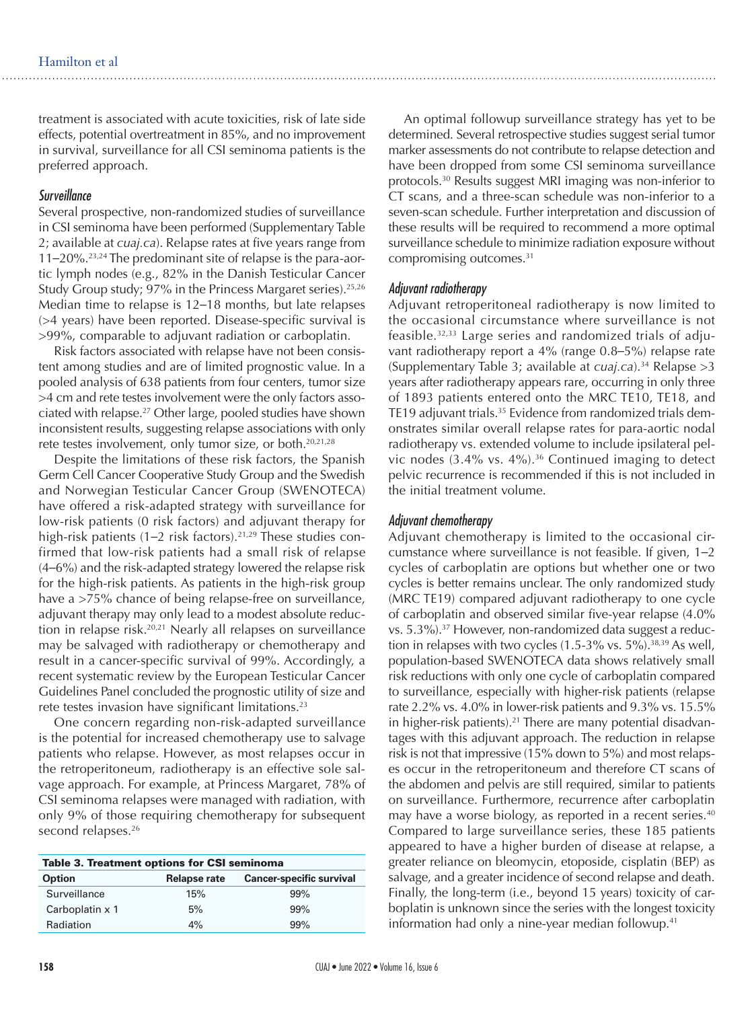treatment is associated with acute toxicities, risk of late side effects, potential overtreatment in 85%, and no improvement in survival, surveillance for all CSI seminoma patients is the preferred approach.

#### *Surveillance*

Several prospective, non-randomized studies of surveillance in CSI seminoma have been performed (Supplementary Table 2; available at *cuaj.ca*). Relapse rates at five years range from 11–20%.23,24 The predominant site of relapse is the para-aortic lymph nodes (e.g., 82% in the Danish Testicular Cancer Study Group study; 97% in the Princess Margaret series).<sup>25,26</sup> Median time to relapse is 12–18 months, but late relapses (>4 years) have been reported. Disease-specific survival is >99%, comparable to adjuvant radiation or carboplatin.

Risk factors associated with relapse have not been consistent among studies and are of limited prognostic value. In a pooled analysis of 638 patients from four centers, tumor size >4 cm and rete testes involvement were the only factors associated with relapse.27 Other large, pooled studies have shown inconsistent results, suggesting relapse associations with only rete testes involvement, only tumor size, or both.<sup>20,21,28</sup>

Despite the limitations of these risk factors, the Spanish Germ Cell Cancer Cooperative Study Group and the Swedish and Norwegian Testicular Cancer Group (SWENOTECA) have offered a risk-adapted strategy with surveillance for low-risk patients (0 risk factors) and adjuvant therapy for high-risk patients (1–2 risk factors).<sup>21,29</sup> These studies confirmed that low-risk patients had a small risk of relapse (4–6%) and the risk-adapted strategy lowered the relapse risk for the high-risk patients. As patients in the high-risk group have a >75% chance of being relapse-free on surveillance, adjuvant therapy may only lead to a modest absolute reduction in relapse risk.<sup>20,21</sup> Nearly all relapses on surveillance may be salvaged with radiotherapy or chemotherapy and result in a cancer-specific survival of 99%. Accordingly, a recent systematic review by the European Testicular Cancer Guidelines Panel concluded the prognostic utility of size and rete testes invasion have significant limitations.<sup>23</sup>

One concern regarding non-risk-adapted surveillance is the potential for increased chemotherapy use to salvage patients who relapse. However, as most relapses occur in the retroperitoneum, radiotherapy is an effective sole salvage approach. For example, at Princess Margaret, 78% of CSI seminoma relapses were managed with radiation, with only 9% of those requiring chemotherapy for subsequent second relapses.<sup>26</sup>

| <b>Table 3. Treatment options for CSI seminoma</b> |              |                                 |  |  |  |  |  |  |
|----------------------------------------------------|--------------|---------------------------------|--|--|--|--|--|--|
| <b>Option</b>                                      | Relapse rate | <b>Cancer-specific survival</b> |  |  |  |  |  |  |
| Surveillance                                       | 15%          | 99%                             |  |  |  |  |  |  |
| Carboplatin x 1                                    | 5%           | 99%                             |  |  |  |  |  |  |
| Radiation                                          | 4%           | 99%                             |  |  |  |  |  |  |

An optimal followup surveillance strategy has yet to be determined. Several retrospective studies suggest serial tumor marker assessments do not contribute to relapse detection and have been dropped from some CSI seminoma surveillance protocols.30 Results suggest MRI imaging was non-inferior to CT scans, and a three-scan schedule was non-inferior to a seven-scan schedule. Further interpretation and discussion of these results will be required to recommend a more optimal surveillance schedule to minimize radiation exposure without compromising outcomes.31

#### *Adjuvant radiotherapy*

Adjuvant retroperitoneal radiotherapy is now limited to the occasional circumstance where surveillance is not feasible.32,33 Large series and randomized trials of adjuvant radiotherapy report a 4% (range 0.8–5%) relapse rate (Supplementary Table 3; available at *cuaj.ca*).34 Relapse >3 years after radiotherapy appears rare, occurring in only three of 1893 patients entered onto the MRC TE10, TE18, and TE19 adjuvant trials.<sup>35</sup> Evidence from randomized trials demonstrates similar overall relapse rates for para-aortic nodal radiotherapy vs. extended volume to include ipsilateral pelvic nodes  $(3.4\% \text{ vs. } 4\%)$ .<sup>36</sup> Continued imaging to detect pelvic recurrence is recommended if this is not included in the initial treatment volume.

#### *Adjuvant chemotherapy*

Adjuvant chemotherapy is limited to the occasional circumstance where surveillance is not feasible. If given, 1–2 cycles of carboplatin are options but whether one or two cycles is better remains unclear. The only randomized study (MRC TE19) compared adjuvant radiotherapy to one cycle of carboplatin and observed similar five-year relapse (4.0% vs. 5.3%).<sup>37</sup> However, non-randomized data suggest a reduction in relapses with two cycles  $(1.5-3\% \text{ vs. } 5\%)$ .<sup>38,39</sup> As well, population-based SWENOTECA data shows relatively small risk reductions with only one cycle of carboplatin compared to surveillance, especially with higher-risk patients (relapse rate 2.2% vs. 4.0% in lower-risk patients and 9.3% vs. 15.5% in higher-risk patients).<sup>21</sup> There are many potential disadvantages with this adjuvant approach. The reduction in relapse risk is not that impressive (15% down to 5%) and most relapses occur in the retroperitoneum and therefore CT scans of the abdomen and pelvis are still required, similar to patients on surveillance. Furthermore, recurrence after carboplatin may have a worse biology, as reported in a recent series.<sup>40</sup> Compared to large surveillance series, these 185 patients appeared to have a higher burden of disease at relapse, a greater reliance on bleomycin, etoposide, cisplatin (BEP) as salvage, and a greater incidence of second relapse and death. Finally, the long-term (i.e., beyond 15 years) toxicity of carboplatin is unknown since the series with the longest toxicity information had only a nine-year median followup.<sup>41</sup>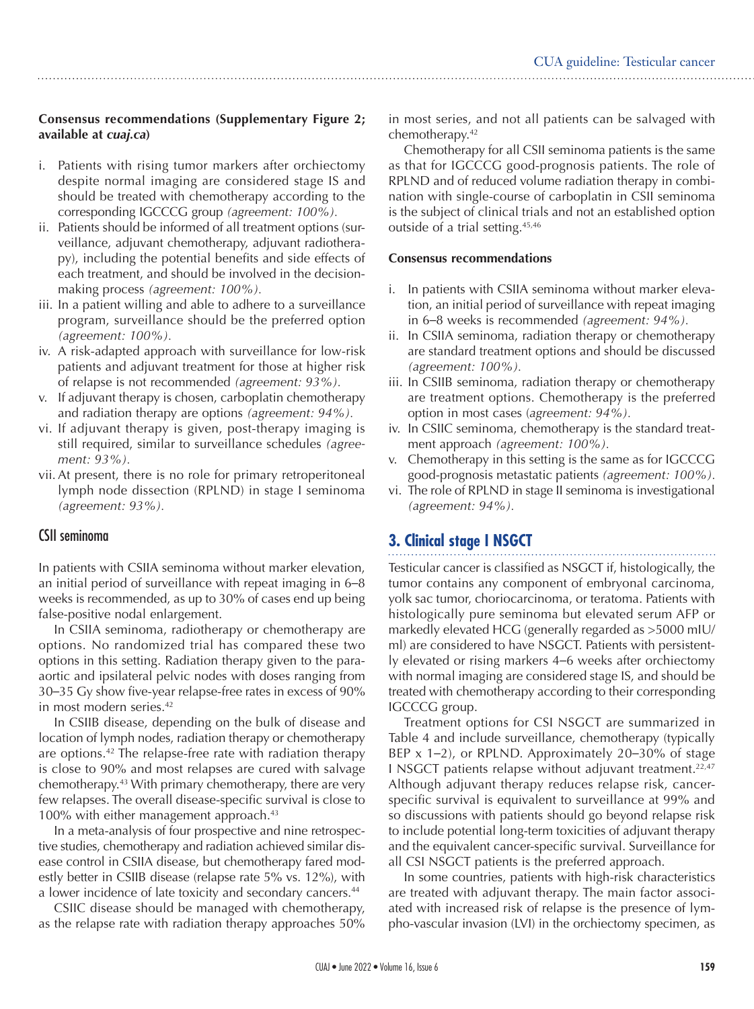## **Consensus recommendations (Supplementary Figure 2; available at** *cuaj.ca***)**

- i. Patients with rising tumor markers after orchiectomy despite normal imaging are considered stage IS and should be treated with chemotherapy according to the corresponding IGCCCG group *(agreement: 100%).*
- ii. Patients should be informed of all treatment options (surveillance, adjuvant chemotherapy, adjuvant radiotherapy), including the potential benefits and side effects of each treatment, and should be involved in the decisionmaking process *(agreement: 100%).*
- iii. In a patient willing and able to adhere to a surveillance program, surveillance should be the preferred option *(agreement: 100%).*
- iv. A risk-adapted approach with surveillance for low-risk patients and adjuvant treatment for those at higher risk of relapse is not recommended *(agreement: 93%).*
- v. If adjuvant therapy is chosen, carboplatin chemotherapy and radiation therapy are options *(agreement: 94%).*
- vi. If adjuvant therapy is given, post-therapy imaging is still required, similar to surveillance schedules *(agreement: 93%).*
- vii.At present, there is no role for primary retroperitoneal lymph node dissection (RPLND) in stage I seminoma *(agreement: 93%).*

# CSII seminoma

In patients with CSIIA seminoma without marker elevation, an initial period of surveillance with repeat imaging in 6–8 weeks is recommended, as up to 30% of cases end up being false-positive nodal enlargement.

In CSIIA seminoma, radiotherapy or chemotherapy are options. No randomized trial has compared these two options in this setting. Radiation therapy given to the paraaortic and ipsilateral pelvic nodes with doses ranging from 30–35 Gy show five-year relapse-free rates in excess of 90% in most modern series.<sup>42</sup>

In CSIIB disease, depending on the bulk of disease and location of lymph nodes, radiation therapy or chemotherapy are options.42 The relapse-free rate with radiation therapy is close to 90% and most relapses are cured with salvage chemotherapy.43 With primary chemotherapy, there are very few relapses. The overall disease-specific survival is close to 100% with either management approach.<sup>43</sup>

In a meta-analysis of four prospective and nine retrospective studies, chemotherapy and radiation achieved similar disease control in CSIIA disease, but chemotherapy fared modestly better in CSIIB disease (relapse rate 5% vs. 12%), with a lower incidence of late toxicity and secondary cancers.<sup>44</sup>

CSIIC disease should be managed with chemotherapy, as the relapse rate with radiation therapy approaches 50%

in most series, and not all patients can be salvaged with chemotherapy.42

Chemotherapy for all CSII seminoma patients is the same as that for IGCCCG good-prognosis patients. The role of RPLND and of reduced volume radiation therapy in combination with single-course of carboplatin in CSII seminoma is the subject of clinical trials and not an established option outside of a trial setting.45,46

#### **Consensus recommendations**

- i. In patients with CSIIA seminoma without marker elevation, an initial period of surveillance with repeat imaging in 6–8 weeks is recommended *(agreement: 94%).*
- ii. In CSIIA seminoma, radiation therapy or chemotherapy are standard treatment options and should be discussed *(agreement: 100%).*
- iii. In CSIIB seminoma, radiation therapy or chemotherapy are treatment options. Chemotherapy is the preferred option in most cases (*agreement: 94%).*
- iv. In CSIIC seminoma, chemotherapy is the standard treatment approach *(agreement: 100%).*
- v. Chemotherapy in this setting is the same as for IGCCCG good-prognosis metastatic patients *(agreement: 100%).*
- vi. The role of RPLND in stage II seminoma is investigational *(agreement: 94%).*

# **3. Clinical stage I NSGCT**

Testicular cancer is classified as NSGCT if, histologically, the tumor contains any component of embryonal carcinoma, yolk sac tumor, choriocarcinoma, or teratoma. Patients with histologically pure seminoma but elevated serum AFP or markedly elevated HCG (generally regarded as >5000 mIU/ ml) are considered to have NSGCT. Patients with persistently elevated or rising markers 4–6 weeks after orchiectomy with normal imaging are considered stage IS, and should be treated with chemotherapy according to their corresponding IGCCCG group.

Treatment options for CSI NSGCT are summarized in Table 4 and include surveillance, chemotherapy (typically BEP x 1–2), or RPLND. Approximately 20–30% of stage I NSGCT patients relapse without adjuvant treatment.22,47 Although adjuvant therapy reduces relapse risk, cancerspecific survival is equivalent to surveillance at 99% and so discussions with patients should go beyond relapse risk to include potential long-term toxicities of adjuvant therapy and the equivalent cancer-specific survival. Surveillance for all CSI NSGCT patients is the preferred approach.

In some countries, patients with high-risk characteristics are treated with adjuvant therapy. The main factor associated with increased risk of relapse is the presence of lympho-vascular invasion (LVI) in the orchiectomy specimen, as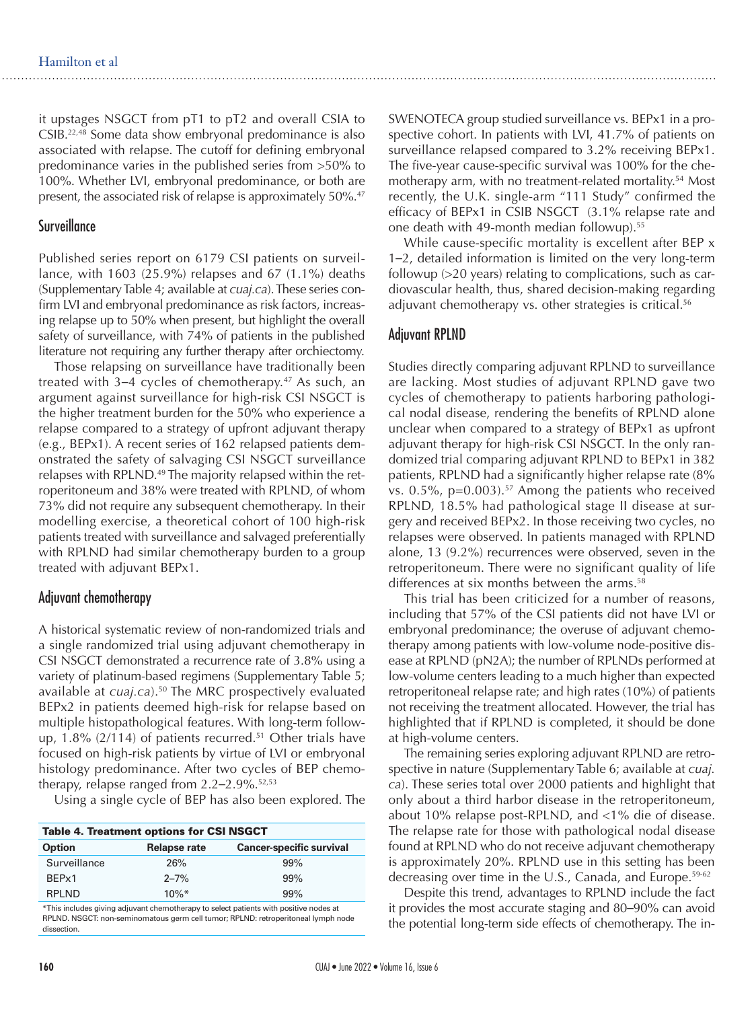it upstages NSGCT from pT1 to pT2 and overall CSIA to CSIB.22,48 Some data show embryonal predominance is also associated with relapse. The cutoff for defining embryonal predominance varies in the published series from >50% to 100%. Whether LVI, embryonal predominance, or both are present, the associated risk of relapse is approximately 50%.<sup>47</sup>

## **Surveillance**

Published series report on 6179 CSI patients on surveillance, with 1603 (25.9%) relapses and 67 (1.1%) deaths (Supplementary Table 4; available at *cuaj.ca*). These series confirm LVI and embryonal predominance as risk factors, increasing relapse up to 50% when present, but highlight the overall safety of surveillance, with 74% of patients in the published literature not requiring any further therapy after orchiectomy.

Those relapsing on surveillance have traditionally been treated with  $3-4$  cycles of chemotherapy.<sup>47</sup> As such, an argument against surveillance for high-risk CSI NSGCT is the higher treatment burden for the 50% who experience a relapse compared to a strategy of upfront adjuvant therapy (e.g., BEPx1). A recent series of 162 relapsed patients demonstrated the safety of salvaging CSI NSGCT surveillance relapses with RPLND.<sup>49</sup> The majority relapsed within the retroperitoneum and 38% were treated with RPLND, of whom 73% did not require any subsequent chemotherapy. In their modelling exercise, a theoretical cohort of 100 high-risk patients treated with surveillance and salvaged preferentially with RPLND had similar chemotherapy burden to a group treated with adjuvant BEPx1.

#### Adjuvant chemotherapy

A historical systematic review of non-randomized trials and a single randomized trial using adjuvant chemotherapy in CSI NSGCT demonstrated a recurrence rate of 3.8% using a variety of platinum-based regimens (Supplementary Table 5; available at *cuaj.ca*).<sup>50</sup> The MRC prospectively evaluated BEPx2 in patients deemed high-risk for relapse based on multiple histopathological features. With long-term followup,  $1.8\%$  (2/114) of patients recurred.<sup>51</sup> Other trials have focused on high-risk patients by virtue of LVI or embryonal histology predominance. After two cycles of BEP chemotherapy, relapse ranged from  $2.2-2.9\%$ .<sup>52,53</sup>

Using a single cycle of BEP has also been explored. The

| <b>Table 4. Treatment options for CSI NSGCT</b> |                     |                                 |  |  |  |  |  |
|-------------------------------------------------|---------------------|---------------------------------|--|--|--|--|--|
| <b>Option</b>                                   | <b>Relapse rate</b> | <b>Cancer-specific survival</b> |  |  |  |  |  |
| Surveillance                                    | 26%                 | 99%                             |  |  |  |  |  |
| BFP <sub>x1</sub>                               | $2 - 7%$            | 99%                             |  |  |  |  |  |
| RPI ND                                          | $10\%$ *            | 99%                             |  |  |  |  |  |

\*This includes giving adjuvant chemotherapy to select patients with positive nodes at RPLND. NSGCT: non-seminomatous germ cell tumor; RPLND: retroperitoneal lymph node dissection.

SWENOTECA group studied surveillance vs. BEPx1 in a prospective cohort. In patients with LVI, 41.7% of patients on surveillance relapsed compared to 3.2% receiving BEPx1. The five-year cause-specific survival was 100% for the chemotherapy arm, with no treatment-related mortality.<sup>54</sup> Most recently, the U.K. single-arm "111 Study" confirmed the efficacy of BEPx1 in CSIB NSGCT (3.1% relapse rate and one death with 49-month median followup).55

While cause-specific mortality is excellent after BEP x 1–2, detailed information is limited on the very long-term followup (>20 years) relating to complications, such as cardiovascular health, thus, shared decision-making regarding adjuvant chemotherapy vs. other strategies is critical.<sup>56</sup>

#### Adjuvant RPLND

Studies directly comparing adjuvant RPLND to surveillance are lacking. Most studies of adjuvant RPLND gave two cycles of chemotherapy to patients harboring pathological nodal disease, rendering the benefits of RPLND alone unclear when compared to a strategy of BEPx1 as upfront adjuvant therapy for high-risk CSI NSGCT. In the only randomized trial comparing adjuvant RPLND to BEPx1 in 382 patients, RPLND had a significantly higher relapse rate (8% vs.  $0.5\%$ ,  $p=0.003$ ).<sup>57</sup> Among the patients who received RPLND, 18.5% had pathological stage II disease at surgery and received BEPx2. In those receiving two cycles, no relapses were observed. In patients managed with RPLND alone, 13 (9.2%) recurrences were observed, seven in the retroperitoneum. There were no significant quality of life differences at six months between the arms.<sup>58</sup>

This trial has been criticized for a number of reasons, including that 57% of the CSI patients did not have LVI or embryonal predominance; the overuse of adjuvant chemotherapy among patients with low-volume node-positive disease at RPLND (pN2A); the number of RPLNDs performed at low-volume centers leading to a much higher than expected retroperitoneal relapse rate; and high rates (10%) of patients not receiving the treatment allocated. However, the trial has highlighted that if RPLND is completed, it should be done at high-volume centers.

The remaining series exploring adjuvant RPLND are retrospective in nature (Supplementary Table 6; available at *cuaj. ca*). These series total over 2000 patients and highlight that only about a third harbor disease in the retroperitoneum, about 10% relapse post-RPLND, and <1% die of disease. The relapse rate for those with pathological nodal disease found at RPLND who do not receive adjuvant chemotherapy is approximately 20%. RPLND use in this setting has been decreasing over time in the U.S., Canada, and Europe.<sup>59-62</sup>

Despite this trend, advantages to RPLND include the fact it provides the most accurate staging and 80–90% can avoid the potential long-term side effects of chemotherapy. The in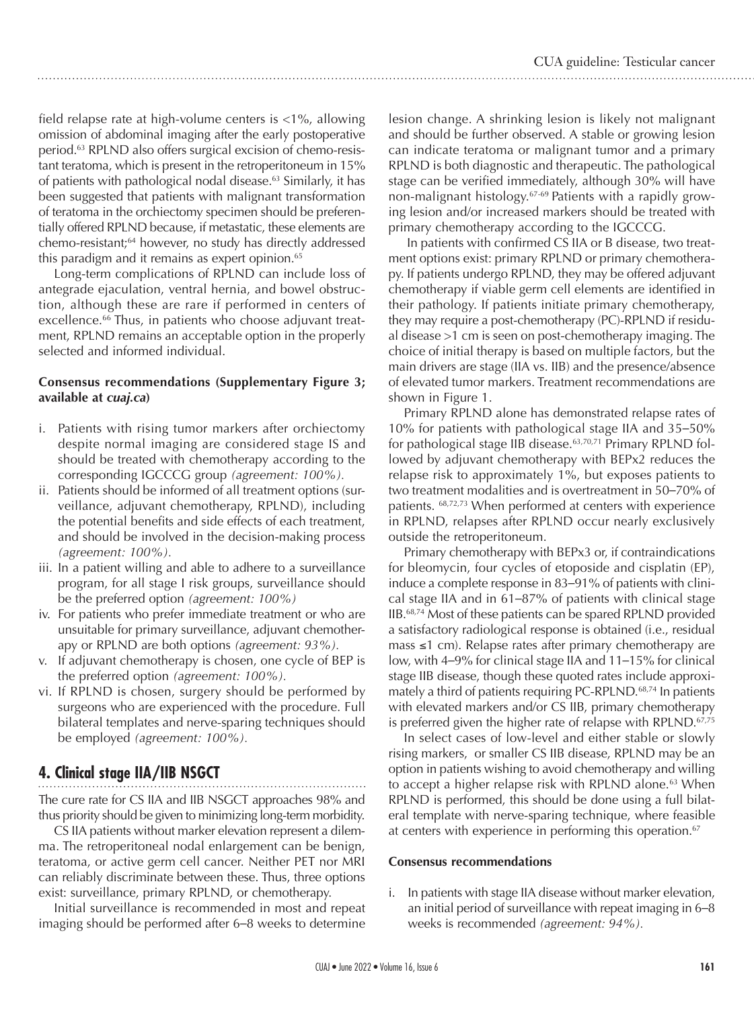field relapse rate at high-volume centers is <1%, allowing omission of abdominal imaging after the early postoperative period.63 RPLND also offers surgical excision of chemo-resistant teratoma, which is present in the retroperitoneum in 15% of patients with pathological nodal disease.<sup>63</sup> Similarly, it has been suggested that patients with malignant transformation of teratoma in the orchiectomy specimen should be preferentially offered RPLND because, if metastatic, these elements are chemo-resistant;64 however, no study has directly addressed this paradigm and it remains as expert opinion.<sup>65</sup>

Long-term complications of RPLND can include loss of antegrade ejaculation, ventral hernia, and bowel obstruction, although these are rare if performed in centers of excellence.<sup>66</sup> Thus, in patients who choose adjuvant treatment, RPLND remains an acceptable option in the properly selected and informed individual.

#### **Consensus recommendations (Supplementary Figure 3; available at** *cuaj.ca***)**

- i. Patients with rising tumor markers after orchiectomy despite normal imaging are considered stage IS and should be treated with chemotherapy according to the corresponding IGCCCG group *(agreement: 100%).*
- ii. Patients should be informed of all treatment options (surveillance, adjuvant chemotherapy, RPLND), including the potential benefits and side effects of each treatment, and should be involved in the decision-making process *(agreement: 100%).*
- iii. In a patient willing and able to adhere to a surveillance program, for all stage I risk groups, surveillance should be the preferred option *(agreement: 100%)*
- iv. For patients who prefer immediate treatment or who are unsuitable for primary surveillance, adjuvant chemotherapy or RPLND are both options *(agreement: 93%).*
- v. If adjuvant chemotherapy is chosen, one cycle of BEP is the preferred option *(agreement: 100%).*
- vi. If RPLND is chosen, surgery should be performed by surgeons who are experienced with the procedure. Full bilateral templates and nerve-sparing techniques should be employed *(agreement: 100%).*

# **4. Clinical stage IIA/IIB NSGCT**

The cure rate for CS IIA and IIB NSGCT approaches 98% and thus priority should be given to minimizing long-term morbidity.

CS IIA patients without marker elevation represent a dilemma. The retroperitoneal nodal enlargement can be benign, teratoma, or active germ cell cancer. Neither PET nor MRI can reliably discriminate between these. Thus, three options exist: surveillance, primary RPLND, or chemotherapy.

Initial surveillance is recommended in most and repeat imaging should be performed after 6–8 weeks to determine lesion change. A shrinking lesion is likely not malignant and should be further observed. A stable or growing lesion can indicate teratoma or malignant tumor and a primary RPLND is both diagnostic and therapeutic. The pathological stage can be verified immediately, although 30% will have non-malignant histology.67-69 Patients with a rapidly growing lesion and/or increased markers should be treated with primary chemotherapy according to the IGCCCG.

 In patients with confirmed CS IIA or B disease, two treatment options exist: primary RPLND or primary chemotherapy. If patients undergo RPLND, they may be offered adjuvant chemotherapy if viable germ cell elements are identified in their pathology. If patients initiate primary chemotherapy, they may require a post-chemotherapy (PC)-RPLND if residual disease >1 cm is seen on post-chemotherapy imaging. The choice of initial therapy is based on multiple factors, but the main drivers are stage (IIA vs. IIB) and the presence/absence of elevated tumor markers. Treatment recommendations are shown in Figure 1.

Primary RPLND alone has demonstrated relapse rates of 10% for patients with pathological stage IIA and 35–50% for pathological stage IIB disease.<sup>63,70,71</sup> Primary RPLND followed by adjuvant chemotherapy with BEPx2 reduces the relapse risk to approximately 1%, but exposes patients to two treatment modalities and is overtreatment in 50–70% of patients. 68,72,73 When performed at centers with experience in RPLND, relapses after RPLND occur nearly exclusively outside the retroperitoneum.

Primary chemotherapy with BEPx3 or, if contraindications for bleomycin, four cycles of etoposide and cisplatin (EP), induce a complete response in 83–91% of patients with clinical stage IIA and in 61–87% of patients with clinical stage IIB.68,74 Most of these patients can be spared RPLND provided a satisfactory radiological response is obtained (i.e., residual mass ≤1 cm). Relapse rates after primary chemotherapy are low, with 4–9% for clinical stage IIA and 11–15% for clinical stage IIB disease, though these quoted rates include approximately a third of patients requiring PC-RPLND.<sup>68,74</sup> In patients with elevated markers and/or CS IIB, primary chemotherapy is preferred given the higher rate of relapse with RPLND.<sup>67,75</sup>

In select cases of low-level and either stable or slowly rising markers, or smaller CS IIB disease, RPLND may be an option in patients wishing to avoid chemotherapy and willing to accept a higher relapse risk with RPLND alone.<sup>63</sup> When RPLND is performed, this should be done using a full bilateral template with nerve-sparing technique, where feasible at centers with experience in performing this operation.<sup>67</sup>

#### **Consensus recommendations**

i. In patients with stage IIA disease without marker elevation, an initial period of surveillance with repeat imaging in 6–8 weeks is recommended *(agreement: 94%).*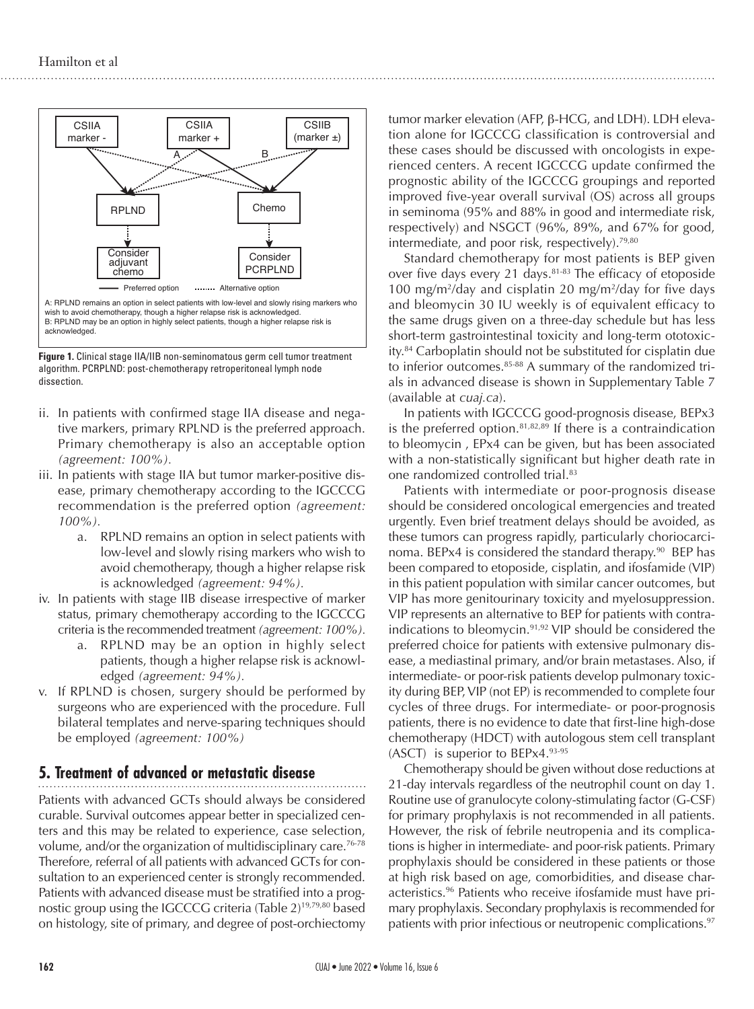

**Figure 1.** Clinical stage IIA/IIB non-seminomatous germ cell tumor treatment algorithm. PCRPLND: post-chemotherapy retroperitoneal lymph node dissection.

- ii. In patients with confirmed stage IIA disease and negative markers, primary RPLND is the preferred approach. Primary chemotherapy is also an acceptable option *(agreement: 100%).*
- iii. In patients with stage IIA but tumor marker-positive disease, primary chemotherapy according to the IGCCCG recommendation is the preferred option *(agreement: 100%).*
	- a. RPLND remains an option in select patients with low-level and slowly rising markers who wish to avoid chemotherapy, though a higher relapse risk is acknowledged *(agreement: 94%).*
- iv. In patients with stage IIB disease irrespective of marker status, primary chemotherapy according to the IGCCCG criteria is the recommended treatment *(agreement: 100%).*
	- a. RPLND may be an option in highly select patients, though a higher relapse risk is acknowledged *(agreement: 94%).*
- v. If RPLND is chosen, surgery should be performed by surgeons who are experienced with the procedure. Full bilateral templates and nerve-sparing techniques should be employed *(agreement: 100%)*

# **5. Treatment of advanced or metastatic disease**

Patients with advanced GCTs should always be considered curable. Survival outcomes appear better in specialized centers and this may be related to experience, case selection, volume, and/or the organization of multidisciplinary care.<sup>76-78</sup> Therefore, referral of all patients with advanced GCTs for consultation to an experienced center is strongly recommended. Patients with advanced disease must be stratified into a prognostic group using the IGCCCG criteria (Table 2)19,79,80 based on histology, site of primary, and degree of post-orchiectomy tumor marker elevation (AFP, β-HCG, and LDH). LDH elevation alone for IGCCCG classification is controversial and these cases should be discussed with oncologists in experienced centers. A recent IGCCCG update confirmed the prognostic ability of the IGCCCG groupings and reported improved five-year overall survival (OS) across all groups in seminoma (95% and 88% in good and intermediate risk, respectively) and NSGCT (96%, 89%, and 67% for good, intermediate, and poor risk, respectively).<sup>79,80</sup>

Standard chemotherapy for most patients is BEP given over five days every 21 days.<sup>81-83</sup> The efficacy of etoposide 100 mg/m<sup>2</sup>/day and cisplatin 20 mg/m<sup>2</sup>/day for five days and bleomycin 30 IU weekly is of equivalent efficacy to the same drugs given on a three-day schedule but has less short-term gastrointestinal toxicity and long-term ototoxicity.84 Carboplatin should not be substituted for cisplatin due to inferior outcomes.<sup>85-88</sup> A summary of the randomized trials in advanced disease is shown in Supplementary Table 7 (available at *cuaj.ca*).

In patients with IGCCCG good-prognosis disease, BEPx3 is the preferred option.<sup>81,82,89</sup> If there is a contraindication to bleomycin , EPx4 can be given, but has been associated with a non-statistically significant but higher death rate in one randomized controlled trial.<sup>83</sup>

Patients with intermediate or poor-prognosis disease should be considered oncological emergencies and treated urgently. Even brief treatment delays should be avoided, as these tumors can progress rapidly, particularly choriocarcinoma. BEPx4 is considered the standard therapy.<sup>90</sup> BEP has been compared to etoposide, cisplatin, and ifosfamide (VIP) in this patient population with similar cancer outcomes, but VIP has more genitourinary toxicity and myelosuppression. VIP represents an alternative to BEP for patients with contraindications to bleomycin.91,92 VIP should be considered the preferred choice for patients with extensive pulmonary disease, a mediastinal primary, and/or brain metastases. Also, if intermediate- or poor-risk patients develop pulmonary toxicity during BEP, VIP (not EP) is recommended to complete four cycles of three drugs. For intermediate- or poor-prognosis patients, there is no evidence to date that first-line high-dose chemotherapy (HDCT) with autologous stem cell transplant (ASCT) is superior to BEPx4.93-95

Chemotherapy should be given without dose reductions at 21-day intervals regardless of the neutrophil count on day 1. Routine use of granulocyte colony-stimulating factor (G-CSF) for primary prophylaxis is not recommended in all patients. However, the risk of febrile neutropenia and its complications is higher in intermediate- and poor-risk patients. Primary prophylaxis should be considered in these patients or those at high risk based on age, comorbidities, and disease characteristics.<sup>96</sup> Patients who receive ifosfamide must have primary prophylaxis. Secondary prophylaxis is recommended for patients with prior infectious or neutropenic complications.<sup>97</sup>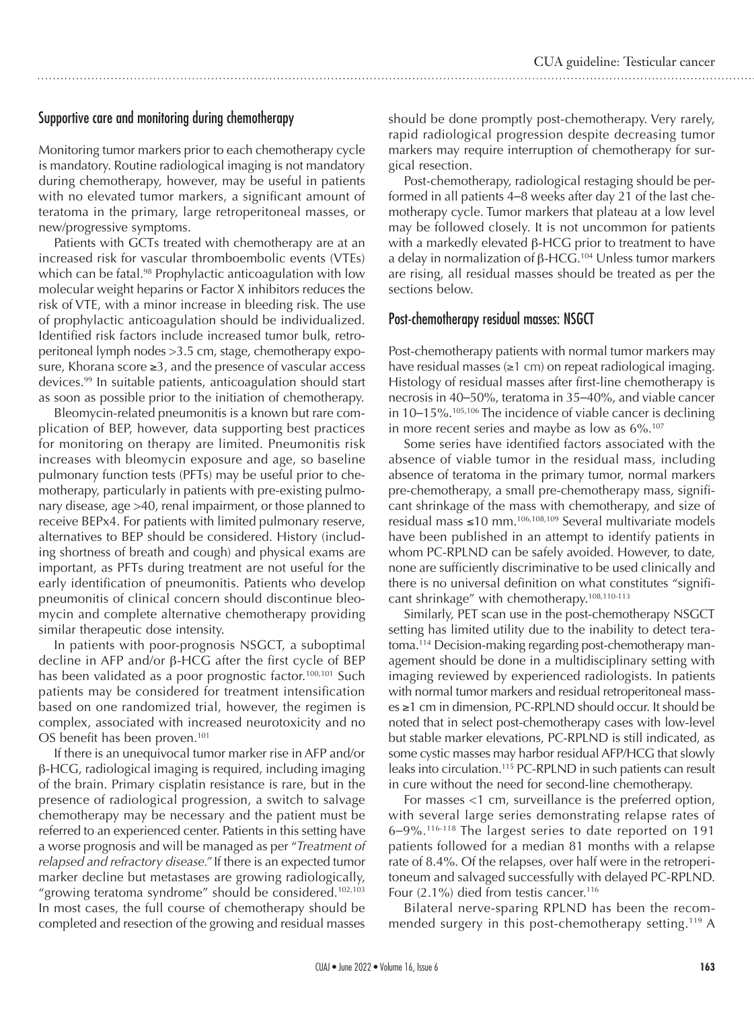## Supportive care and monitoring during chemotherapy

Monitoring tumor markers prior to each chemotherapy cycle is mandatory. Routine radiological imaging is not mandatory during chemotherapy, however, may be useful in patients with no elevated tumor markers, a significant amount of teratoma in the primary, large retroperitoneal masses, or new/progressive symptoms.

Patients with GCTs treated with chemotherapy are at an increased risk for vascular thromboembolic events (VTEs) which can be fatal.<sup>98</sup> Prophylactic anticoagulation with low molecular weight heparins or Factor X inhibitors reduces the risk of VTE, with a minor increase in bleeding risk. The use of prophylactic anticoagulation should be individualized. Identified risk factors include increased tumor bulk, retroperitoneal lymph nodes >3.5 cm, stage, chemotherapy exposure, Khorana score ≥3, and the presence of vascular access devices.99 In suitable patients, anticoagulation should start as soon as possible prior to the initiation of chemotherapy.

Bleomycin-related pneumonitis is a known but rare complication of BEP, however, data supporting best practices for monitoring on therapy are limited. Pneumonitis risk increases with bleomycin exposure and age, so baseline pulmonary function tests (PFTs) may be useful prior to chemotherapy, particularly in patients with pre-existing pulmonary disease, age >40, renal impairment, or those planned to receive BEPx4. For patients with limited pulmonary reserve, alternatives to BEP should be considered. History (including shortness of breath and cough) and physical exams are important, as PFTs during treatment are not useful for the early identification of pneumonitis. Patients who develop pneumonitis of clinical concern should discontinue bleomycin and complete alternative chemotherapy providing similar therapeutic dose intensity.

In patients with poor-prognosis NSGCT, a suboptimal decline in AFP and/or β-HCG after the first cycle of BEP has been validated as a poor prognostic factor.<sup>100,101</sup> Such patients may be considered for treatment intensification based on one randomized trial, however, the regimen is complex, associated with increased neurotoxicity and no OS benefit has been proven.<sup>101</sup>

If there is an unequivocal tumor marker rise in AFP and/or β-HCG, radiological imaging is required, including imaging of the brain. Primary cisplatin resistance is rare, but in the presence of radiological progression, a switch to salvage chemotherapy may be necessary and the patient must be referred to an experienced center. Patients in this setting have a worse prognosis and will be managed as per "*Treatment of relapsed and refractory disease."* If there is an expected tumor marker decline but metastases are growing radiologically, "growing teratoma syndrome" should be considered.<sup>102,103</sup> In most cases, the full course of chemotherapy should be completed and resection of the growing and residual masses should be done promptly post-chemotherapy. Very rarely, rapid radiological progression despite decreasing tumor markers may require interruption of chemotherapy for surgical resection.

Post-chemotherapy, radiological restaging should be performed in all patients 4–8 weeks after day 21 of the last chemotherapy cycle. Tumor markers that plateau at a low level may be followed closely. It is not uncommon for patients with a markedly elevated β-HCG prior to treatment to have a delay in normalization of  $\beta$ -HCG.<sup>104</sup> Unless tumor markers are rising, all residual masses should be treated as per the sections below.

#### Post-chemotherapy residual masses: NSGCT

Post-chemotherapy patients with normal tumor markers may have residual masses (≥1 cm) on repeat radiological imaging. Histology of residual masses after first-line chemotherapy is necrosis in 40–50%, teratoma in 35–40%, and viable cancer in  $10-15\%$ .<sup>105,106</sup> The incidence of viable cancer is declining in more recent series and maybe as low as  $6\%$ .<sup>107</sup>

Some series have identified factors associated with the absence of viable tumor in the residual mass, including absence of teratoma in the primary tumor, normal markers pre-chemotherapy, a small pre-chemotherapy mass, significant shrinkage of the mass with chemotherapy, and size of residual mass ≤10 mm.106,108,109 Several multivariate models have been published in an attempt to identify patients in whom PC-RPLND can be safely avoided. However, to date, none are sufficiently discriminative to be used clinically and there is no universal definition on what constitutes "significant shrinkage" with chemotherapy.108,110-113

Similarly, PET scan use in the post-chemotherapy NSGCT setting has limited utility due to the inability to detect teratoma.114 Decision-making regarding post-chemotherapy management should be done in a multidisciplinary setting with imaging reviewed by experienced radiologists. In patients with normal tumor markers and residual retroperitoneal masses ≥1 cm in dimension, PC-RPLND should occur. It should be noted that in select post-chemotherapy cases with low-level but stable marker elevations, PC-RPLND is still indicated, as some cystic masses may harbor residual AFP/HCG that slowly leaks into circulation.115 PC-RPLND in such patients can result in cure without the need for second-line chemotherapy.

For masses <1 cm, surveillance is the preferred option, with several large series demonstrating relapse rates of 6–9%.116-118 The largest series to date reported on 191 patients followed for a median 81 months with a relapse rate of 8.4%. Of the relapses, over half were in the retroperitoneum and salvaged successfully with delayed PC-RPLND. Four (2.1%) died from testis cancer.<sup>116</sup>

Bilateral nerve-sparing RPLND has been the recommended surgery in this post-chemotherapy setting.<sup>119</sup> A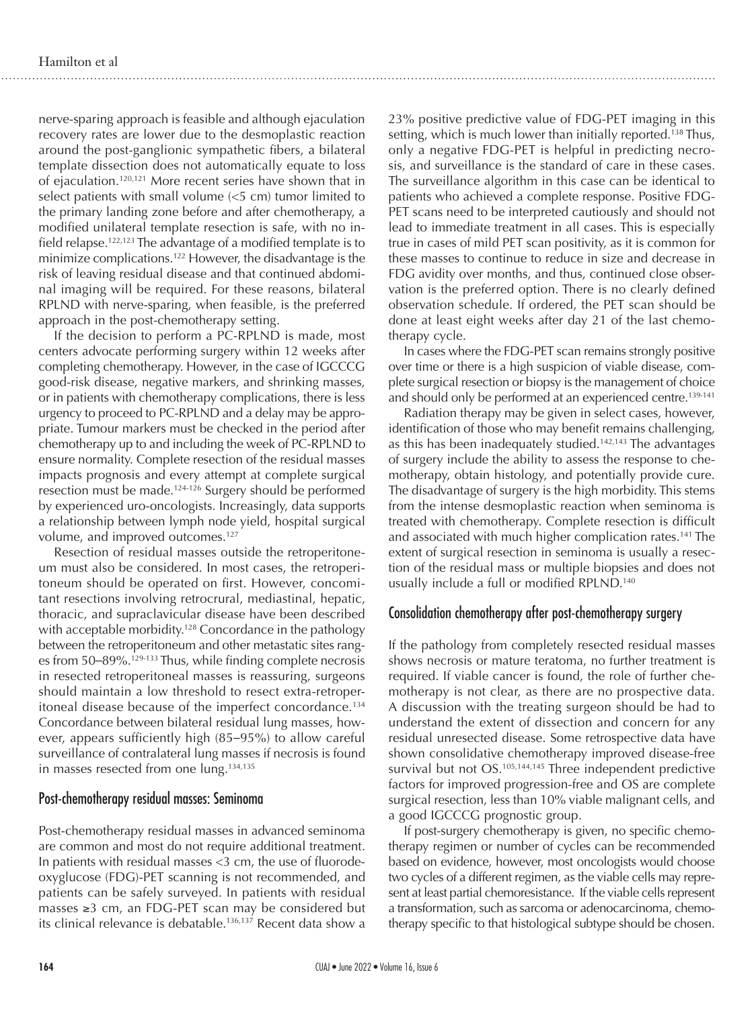nerve-sparing approach is feasible and although ejaculation recovery rates are lower due to the desmoplastic reaction around the post-ganglionic sympathetic fibers, a bilateral template dissection does not automatically equate to loss of ejaculation.120,121 More recent series have shown that in select patients with small volume (<5 cm) tumor limited to the primary landing zone before and after chemotherapy, a modified unilateral template resection is safe, with no infield relapse.122,123 The advantage of a modified template is to minimize complications.122 However, the disadvantage is the risk of leaving residual disease and that continued abdominal imaging will be required. For these reasons, bilateral RPLND with nerve-sparing, when feasible, is the preferred approach in the post-chemotherapy setting.

If the decision to perform a PC-RPLND is made, most centers advocate performing surgery within 12 weeks after completing chemotherapy. However, in the case of IGCCCG good-risk disease, negative markers, and shrinking masses, or in patients with chemotherapy complications, there is less urgency to proceed to PC-RPLND and a delay may be appropriate. Tumour markers must be checked in the period after chemotherapy up to and including the week of PC-RPLND to ensure normality. Complete resection of the residual masses impacts prognosis and every attempt at complete surgical resection must be made.124-126 Surgery should be performed by experienced uro-oncologists. Increasingly, data supports a relationship between lymph node yield, hospital surgical volume, and improved outcomes.127

Resection of residual masses outside the retroperitoneum must also be considered. In most cases, the retroperitoneum should be operated on first. However, concomitant resections involving retrocrural, mediastinal, hepatic, thoracic, and supraclavicular disease have been described with acceptable morbidity.<sup>128</sup> Concordance in the pathology between the retroperitoneum and other metastatic sites ranges from 50–89%.129-133 Thus, while finding complete necrosis in resected retroperitoneal masses is reassuring, surgeons should maintain a low threshold to resect extra-retroperitoneal disease because of the imperfect concordance.<sup>134</sup> Concordance between bilateral residual lung masses, however, appears sufficiently high (85–95%) to allow careful surveillance of contralateral lung masses if necrosis is found in masses resected from one lung.<sup>134,135</sup>

## Post-chemotherapy residual masses: Seminoma

Post-chemotherapy residual masses in advanced seminoma are common and most do not require additional treatment. In patients with residual masses <3 cm, the use of fluorodeoxyglucose (FDG)-PET scanning is not recommended, and patients can be safely surveyed. In patients with residual masses ≥3 cm, an FDG-PET scan may be considered but its clinical relevance is debatable.<sup>136,137</sup> Recent data show a 23% positive predictive value of FDG-PET imaging in this setting, which is much lower than initially reported.<sup>138</sup> Thus, only a negative FDG-PET is helpful in predicting necrosis, and surveillance is the standard of care in these cases. The surveillance algorithm in this case can be identical to patients who achieved a complete response. Positive FDG-PET scans need to be interpreted cautiously and should not lead to immediate treatment in all cases. This is especially true in cases of mild PET scan positivity, as it is common for these masses to continue to reduce in size and decrease in FDG avidity over months, and thus, continued close observation is the preferred option. There is no clearly defined observation schedule. If ordered, the PET scan should be done at least eight weeks after day 21 of the last chemotherapy cycle.

In cases where the FDG-PET scan remains strongly positive over time or there is a high suspicion of viable disease, complete surgical resection or biopsy is the management of choice and should only be performed at an experienced centre.<sup>139-141</sup>

Radiation therapy may be given in select cases, however, identification of those who may benefit remains challenging, as this has been inadequately studied.<sup>142,143</sup> The advantages of surgery include the ability to assess the response to chemotherapy, obtain histology, and potentially provide cure. The disadvantage of surgery is the high morbidity. This stems from the intense desmoplastic reaction when seminoma is treated with chemotherapy. Complete resection is difficult and associated with much higher complication rates.<sup>141</sup> The extent of surgical resection in seminoma is usually a resection of the residual mass or multiple biopsies and does not usually include a full or modified RPLND.<sup>140</sup>

## Consolidation chemotherapy after post-chemotherapy surgery

If the pathology from completely resected residual masses shows necrosis or mature teratoma, no further treatment is required. If viable cancer is found, the role of further chemotherapy is not clear, as there are no prospective data. A discussion with the treating surgeon should be had to understand the extent of dissection and concern for any residual unresected disease. Some retrospective data have shown consolidative chemotherapy improved disease-free survival but not OS.<sup>105,144,145</sup> Three independent predictive factors for improved progression-free and OS are complete surgical resection, less than 10% viable malignant cells, and a good IGCCCG prognostic group.

If post-surgery chemotherapy is given, no specific chemotherapy regimen or number of cycles can be recommended based on evidence, however, most oncologists would choose two cycles of a different regimen, as the viable cells may represent at least partial chemoresistance. If the viable cells represent a transformation, such as sarcoma or adenocarcinoma, chemotherapy specific to that histological subtype should be chosen.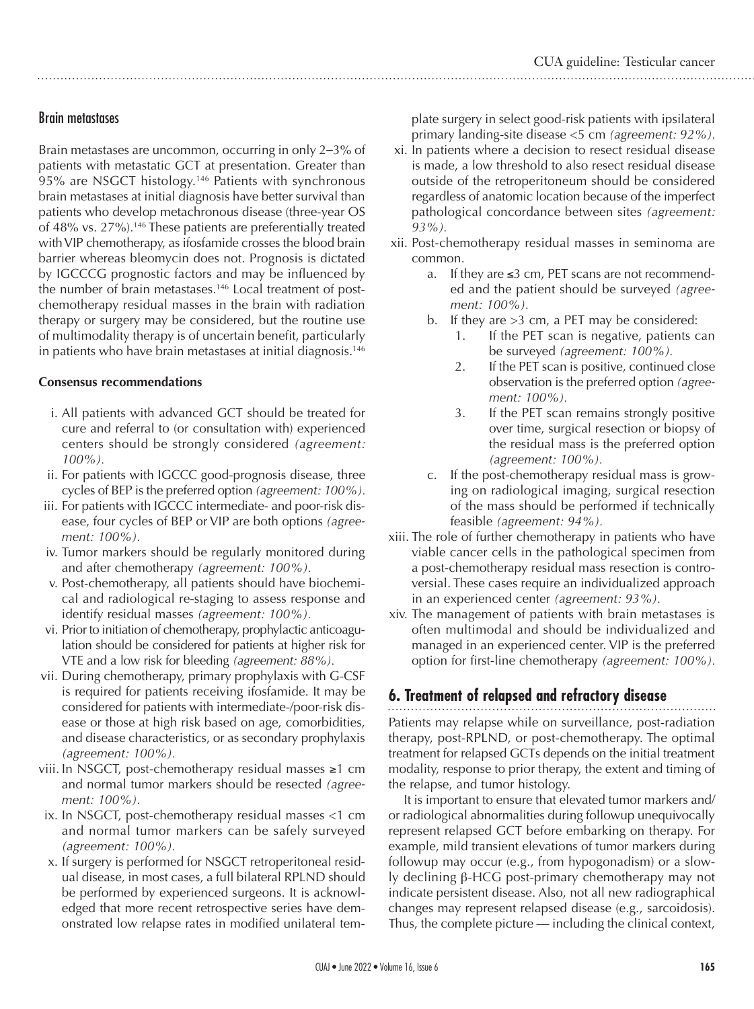# Brain metastases

Brain metastases are uncommon, occurring in only 2–3% of patients with metastatic GCT at presentation. Greater than 95% are NSGCT histology.146 Patients with synchronous brain metastases at initial diagnosis have better survival than patients who develop metachronous disease (three-year OS of 48% vs. 27%).146 These patients are preferentially treated with VIP chemotherapy, as ifosfamide crosses the blood brain barrier whereas bleomycin does not. Prognosis is dictated by IGCCCG prognostic factors and may be influenced by the number of brain metastases.<sup>146</sup> Local treatment of postchemotherapy residual masses in the brain with radiation therapy or surgery may be considered, but the routine use of multimodality therapy is of uncertain benefit, particularly in patients who have brain metastases at initial diagnosis.<sup>146</sup>

#### **Consensus recommendations**

- i. All patients with advanced GCT should be treated for cure and referral to (or consultation with) experienced centers should be strongly considered *(agreement: 100%).*
- ii. For patients with IGCCC good-prognosis disease, three cycles of BEP is the preferred option *(agreement: 100%).*
- iii. For patients with IGCCC intermediate- and poor-risk disease, four cycles of BEP or VIP are both options *(agreement: 100%).*
- iv. Tumor markers should be regularly monitored during and after chemotherapy *(agreement: 100%).*
- v. Post-chemotherapy, all patients should have biochemical and radiological re-staging to assess response and identify residual masses *(agreement: 100%).*
- vi. Prior to initiation of chemotherapy, prophylactic anticoagulation should be considered for patients at higher risk for VTE and a low risk for bleeding *(agreement: 88%).*
- vii. During chemotherapy, primary prophylaxis with G-CSF is required for patients receiving ifosfamide. It may be considered for patients with intermediate-/poor-risk disease or those at high risk based on age, comorbidities, and disease characteristics, or as secondary prophylaxis *(agreement: 100%).*
- viii. In NSGCT, post-chemotherapy residual masses ≥1 cm and normal tumor markers should be resected *(agreement: 100%).*
- ix. In NSGCT, post-chemotherapy residual masses <1 cm and normal tumor markers can be safely surveyed *(agreement: 100%).*
- x. If surgery is performed for NSGCT retroperitoneal residual disease, in most cases, a full bilateral RPLND should be performed by experienced surgeons. It is acknowledged that more recent retrospective series have demonstrated low relapse rates in modified unilateral tem-

plate surgery in select good-risk patients with ipsilateral primary landing-site disease <5 cm *(agreement: 92%).*

- xi. In patients where a decision to resect residual disease is made, a low threshold to also resect residual disease outside of the retroperitoneum should be considered regardless of anatomic location because of the imperfect pathological concordance between sites *(agreement: 93%).*
- xii. Post-chemotherapy residual masses in seminoma are common.
	- a. If they are  $\leq 3$  cm, PET scans are not recommended and the patient should be surveyed *(agreement: 100%).*
	- b. If they are >3 cm, a PET may be considered:
		- 1. If the PET scan is negative, patients can be surveyed *(agreement: 100%).*
		- 2. If the PET scan is positive, continued close observation is the preferred option *(agreement: 100%).*
		- 3. If the PET scan remains strongly positive over time, surgical resection or biopsy of the residual mass is the preferred option *(agreement: 100%).*
	- c. If the post-chemotherapy residual mass is growing on radiological imaging, surgical resection of the mass should be performed if technically feasible *(agreement: 94%).*
- xiii. The role of further chemotherapy in patients who have viable cancer cells in the pathological specimen from a post-chemotherapy residual mass resection is controversial. These cases require an individualized approach in an experienced center *(agreement: 93%).*
- xiv. The management of patients with brain metastases is often multimodal and should be individualized and managed in an experienced center. VIP is the preferred option for first-line chemotherapy *(agreement: 100%).*

# **6. Treatment of relapsed and refractory disease**

Patients may relapse while on surveillance, post-radiation therapy, post-RPLND, or post-chemotherapy. The optimal treatment for relapsed GCTs depends on the initial treatment modality, response to prior therapy, the extent and timing of the relapse, and tumor histology.

It is important to ensure that elevated tumor markers and/ or radiological abnormalities during followup unequivocally represent relapsed GCT before embarking on therapy. For example, mild transient elevations of tumor markers during followup may occur (e.g., from hypogonadism) or a slowly declining β-HCG post-primary chemotherapy may not indicate persistent disease. Also, not all new radiographical changes may represent relapsed disease (e.g., sarcoidosis). Thus, the complete picture — including the clinical context,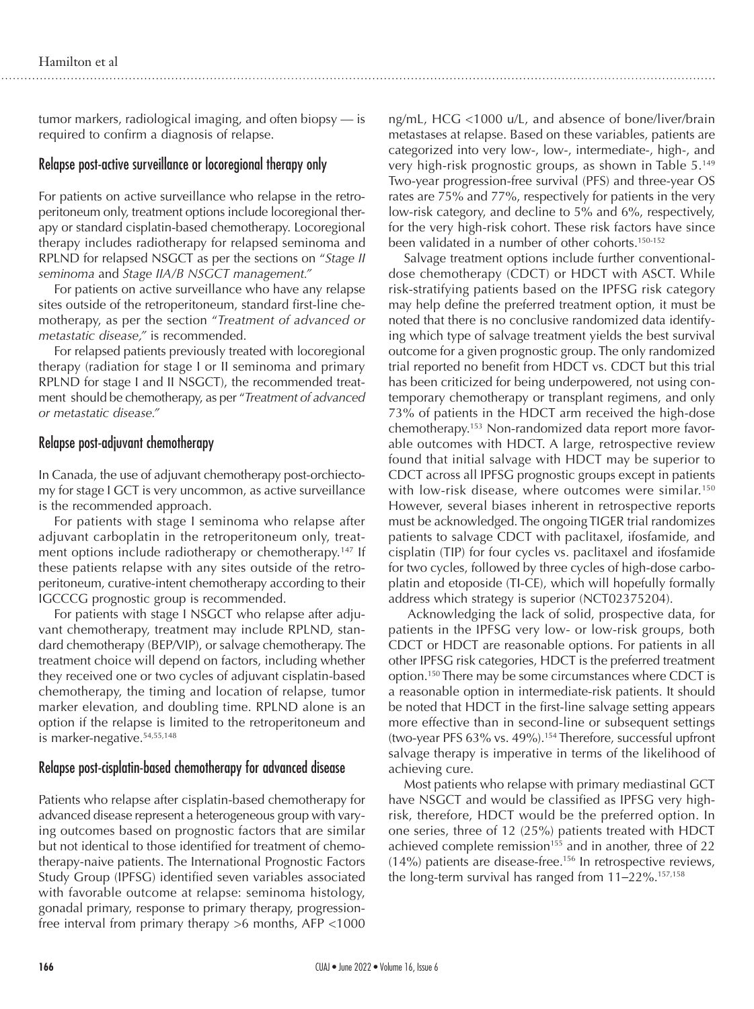tumor markers, radiological imaging, and often biopsy — is required to confirm a diagnosis of relapse.

## Relapse post-active surveillance or locoregional therapy only

For patients on active surveillance who relapse in the retroperitoneum only, treatment options include locoregional therapy or standard cisplatin-based chemotherapy. Locoregional therapy includes radiotherapy for relapsed seminoma and RPLND for relapsed NSGCT as per the sections on "*Stage II seminoma* and *Stage IIA/B NSGCT management."*

For patients on active surveillance who have any relapse sites outside of the retroperitoneum, standard first-line chemotherapy, as per the section "*Treatment of advanced or metastatic disease,"* is recommended.

For relapsed patients previously treated with locoregional therapy (radiation for stage I or II seminoma and primary RPLND for stage I and II NSGCT), the recommended treatment should be chemotherapy, as per "*Treatment of advanced or metastatic disease."*

# Relapse post-adjuvant chemotherapy

In Canada, the use of adjuvant chemotherapy post-orchiectomy for stage I GCT is very uncommon, as active surveillance is the recommended approach.

For patients with stage I seminoma who relapse after adjuvant carboplatin in the retroperitoneum only, treatment options include radiotherapy or chemotherapy.<sup>147</sup> If these patients relapse with any sites outside of the retroperitoneum, curative-intent chemotherapy according to their IGCCCG prognostic group is recommended.

For patients with stage I NSGCT who relapse after adjuvant chemotherapy, treatment may include RPLND, standard chemotherapy (BEP/VIP), or salvage chemotherapy. The treatment choice will depend on factors, including whether they received one or two cycles of adjuvant cisplatin-based chemotherapy, the timing and location of relapse, tumor marker elevation, and doubling time. RPLND alone is an option if the relapse is limited to the retroperitoneum and is marker-negative.<sup>54,55,148</sup>

# Relapse post-cisplatin-based chemotherapy for advanced disease

Patients who relapse after cisplatin-based chemotherapy for advanced disease represent a heterogeneous group with varying outcomes based on prognostic factors that are similar but not identical to those identified for treatment of chemotherapy-naive patients. The International Prognostic Factors Study Group (IPFSG) identified seven variables associated with favorable outcome at relapse: seminoma histology, gonadal primary, response to primary therapy, progressionfree interval from primary therapy >6 months, AFP <1000

ng/mL, HCG <1000 u/L, and absence of bone/liver/brain metastases at relapse. Based on these variables, patients are categorized into very low-, low-, intermediate-, high-, and very high-risk prognostic groups, as shown in Table 5.149 Two-year progression-free survival (PFS) and three-year OS rates are 75% and 77%, respectively for patients in the very low-risk category, and decline to 5% and 6%, respectively, for the very high-risk cohort. These risk factors have since been validated in a number of other cohorts.<sup>150-152</sup>

Salvage treatment options include further conventionaldose chemotherapy (CDCT) or HDCT with ASCT. While risk-stratifying patients based on the IPFSG risk category may help define the preferred treatment option, it must be noted that there is no conclusive randomized data identifying which type of salvage treatment yields the best survival outcome for a given prognostic group. The only randomized trial reported no benefit from HDCT vs. CDCT but this trial has been criticized for being underpowered, not using contemporary chemotherapy or transplant regimens, and only 73% of patients in the HDCT arm received the high-dose chemotherapy.153 Non-randomized data report more favorable outcomes with HDCT. A large, retrospective review found that initial salvage with HDCT may be superior to CDCT across all IPFSG prognostic groups except in patients with low-risk disease, where outcomes were similar.<sup>150</sup> However, several biases inherent in retrospective reports must be acknowledged. The ongoing TIGER trial randomizes patients to salvage CDCT with paclitaxel, ifosfamide, and cisplatin (TIP) for four cycles vs. paclitaxel and ifosfamide for two cycles, followed by three cycles of high-dose carboplatin and etoposide (TI-CE), which will hopefully formally address which strategy is superior (NCT02375204).

 Acknowledging the lack of solid, prospective data, for patients in the IPFSG very low- or low-risk groups, both CDCT or HDCT are reasonable options. For patients in all other IPFSG risk categories, HDCT is the preferred treatment option.150 There may be some circumstances where CDCT is a reasonable option in intermediate-risk patients. It should be noted that HDCT in the first-line salvage setting appears more effective than in second-line or subsequent settings (two-year PFS 63% vs. 49%).154 Therefore, successful upfront salvage therapy is imperative in terms of the likelihood of achieving cure.

Most patients who relapse with primary mediastinal GCT have NSGCT and would be classified as IPFSG very highrisk, therefore, HDCT would be the preferred option. In one series, three of 12 (25%) patients treated with HDCT achieved complete remission<sup>155</sup> and in another, three of 22  $(14%)$  patients are disease-free.<sup>156</sup> In retrospective reviews, the long-term survival has ranged from  $11-22\%$ .<sup>157,158</sup>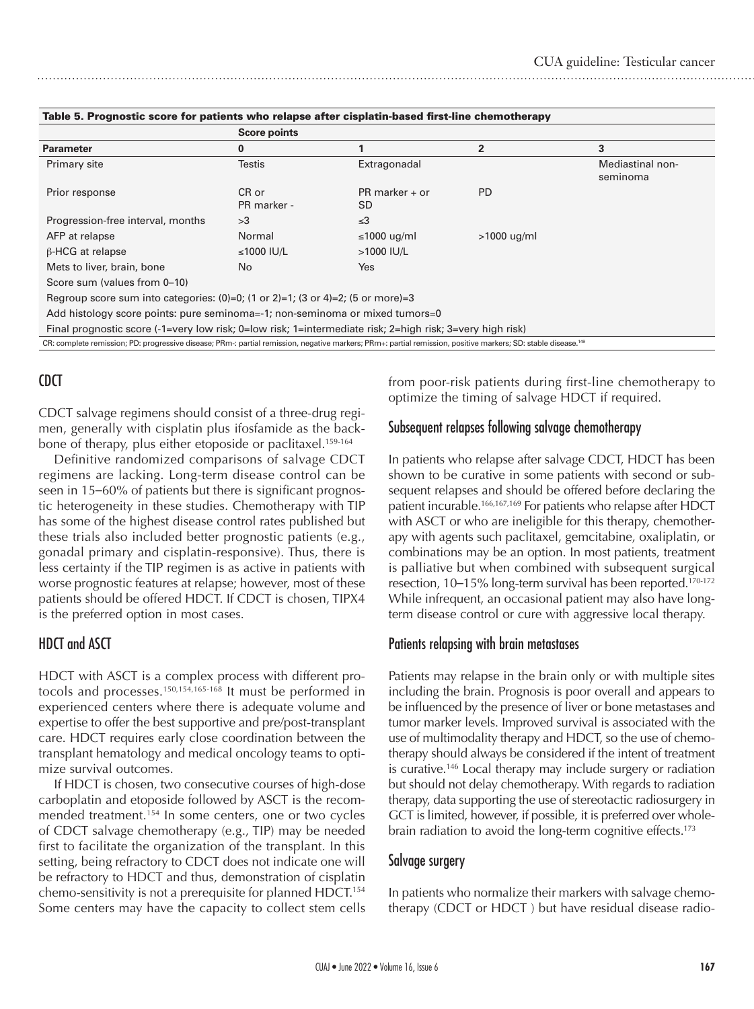|                                                                                                                                                                           | <b>Score points</b>  |                        |                |                              |  |  |  |  |  |
|---------------------------------------------------------------------------------------------------------------------------------------------------------------------------|----------------------|------------------------|----------------|------------------------------|--|--|--|--|--|
| <b>Parameter</b>                                                                                                                                                          | 0                    | 1                      | $\overline{2}$ | 3                            |  |  |  |  |  |
| Primary site                                                                                                                                                              | <b>Testis</b>        | Extragonadal           |                | Mediastinal non-<br>seminoma |  |  |  |  |  |
| Prior response                                                                                                                                                            | CR or<br>PR marker - | $PR$ marker + or<br>SD | <b>PD</b>      |                              |  |  |  |  |  |
| Progression-free interval, months                                                                                                                                         | >3                   | $\leq$ 3               |                |                              |  |  |  |  |  |
| AFP at relapse                                                                                                                                                            | Normal               | ≤1000 ug/ml            | $>1000$ ug/ml  |                              |  |  |  |  |  |
| $\beta$ -HCG at relapse                                                                                                                                                   | ≤1000 IU/L           | $>1000$ IU/L           |                |                              |  |  |  |  |  |
| Mets to liver, brain, bone                                                                                                                                                | No.                  | <b>Yes</b>             |                |                              |  |  |  |  |  |
| Score sum (values from 0-10)                                                                                                                                              |                      |                        |                |                              |  |  |  |  |  |
| Regroup score sum into categories: $(0)=0$ ; $(1 \text{ or } 2)=1$ ; $(3 \text{ or } 4)=2$ ; $(5 \text{ or } \text{more})=3$                                              |                      |                        |                |                              |  |  |  |  |  |
| Add histology score points: pure seminoma=-1; non-seminoma or mixed tumors=0                                                                                              |                      |                        |                |                              |  |  |  |  |  |
| Final prognostic score (-1=very low risk; 0=low risk; 1=intermediate risk; 2=high risk; 3=very high risk)                                                                 |                      |                        |                |                              |  |  |  |  |  |
| CR: complete remission; PD: progressive disease; PRm-: partial remission, negative markers; PRm+: partial remission, positive markers; SD: stable disease. <sup>149</sup> |                      |                        |                |                              |  |  |  |  |  |

#### Table 5. Prognostic score for patients who relapse after cisplatin-based first-line chemotherapy

# CDCT

CDCT salvage regimens should consist of a three-drug regimen, generally with cisplatin plus ifosfamide as the backbone of therapy, plus either etoposide or paclitaxel.<sup>159-164</sup>

Definitive randomized comparisons of salvage CDCT regimens are lacking. Long-term disease control can be seen in 15–60% of patients but there is significant prognostic heterogeneity in these studies. Chemotherapy with TIP has some of the highest disease control rates published but these trials also included better prognostic patients (e.g., gonadal primary and cisplatin-responsive). Thus, there is less certainty if the TIP regimen is as active in patients with worse prognostic features at relapse; however, most of these patients should be offered HDCT. If CDCT is chosen, TIPX4 is the preferred option in most cases.

# HDCT and ASCT

HDCT with ASCT is a complex process with different protocols and processes.150,154,165-168 It must be performed in experienced centers where there is adequate volume and expertise to offer the best supportive and pre/post-transplant care. HDCT requires early close coordination between the transplant hematology and medical oncology teams to optimize survival outcomes.

If HDCT is chosen, two consecutive courses of high-dose carboplatin and etoposide followed by ASCT is the recommended treatment.<sup>154</sup> In some centers, one or two cycles of CDCT salvage chemotherapy (e.g., TIP) may be needed first to facilitate the organization of the transplant. In this setting, being refractory to CDCT does not indicate one will be refractory to HDCT and thus, demonstration of cisplatin chemo-sensitivity is not a prerequisite for planned HDCT.<sup>154</sup> Some centers may have the capacity to collect stem cells from poor-risk patients during first-line chemotherapy to optimize the timing of salvage HDCT if required.

# Subsequent relapses following salvage chemotherapy

In patients who relapse after salvage CDCT, HDCT has been shown to be curative in some patients with second or subsequent relapses and should be offered before declaring the patient incurable.166,167,169 For patients who relapse after HDCT with ASCT or who are ineligible for this therapy, chemotherapy with agents such paclitaxel, gemcitabine, oxaliplatin, or combinations may be an option. In most patients, treatment is palliative but when combined with subsequent surgical resection, 10–15% long-term survival has been reported.<sup>170-172</sup> While infrequent, an occasional patient may also have longterm disease control or cure with aggressive local therapy.

## Patients relapsing with brain metastases

Patients may relapse in the brain only or with multiple sites including the brain. Prognosis is poor overall and appears to be influenced by the presence of liver or bone metastases and tumor marker levels. Improved survival is associated with the use of multimodality therapy and HDCT, so the use of chemotherapy should always be considered if the intent of treatment is curative.146 Local therapy may include surgery or radiation but should not delay chemotherapy. With regards to radiation therapy, data supporting the use of stereotactic radiosurgery in GCT is limited, however, if possible, it is preferred over wholebrain radiation to avoid the long-term cognitive effects.<sup>173</sup>

#### Salvage surgery

In patients who normalize their markers with salvage chemotherapy (CDCT or HDCT ) but have residual disease radio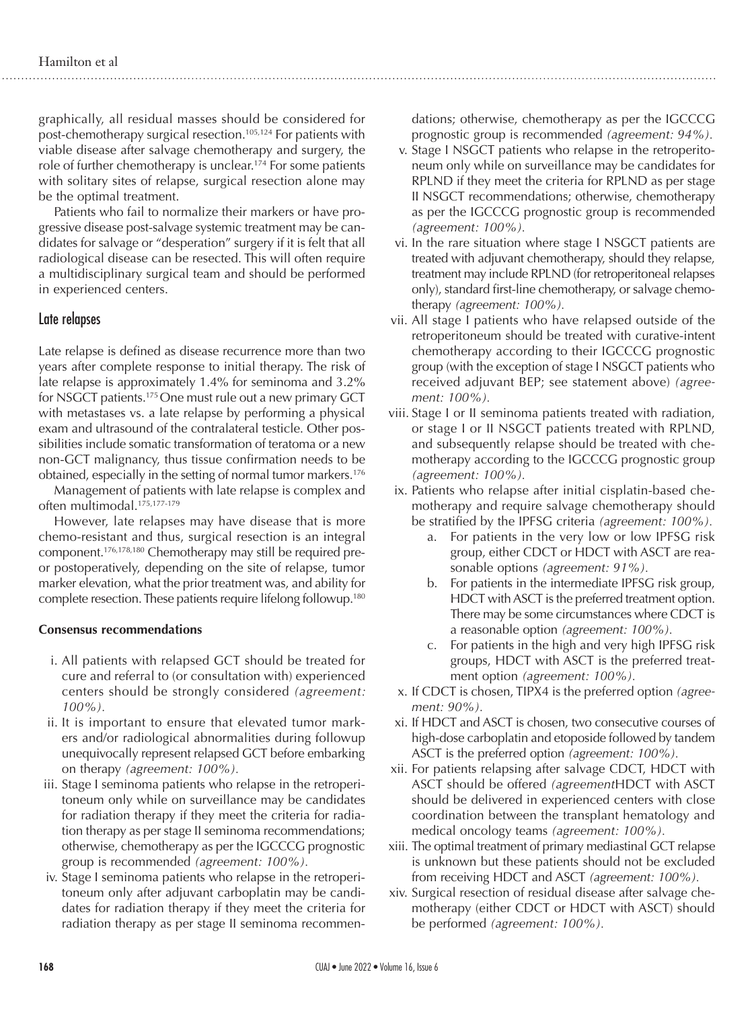graphically, all residual masses should be considered for post-chemotherapy surgical resection.105,124 For patients with viable disease after salvage chemotherapy and surgery, the role of further chemotherapy is unclear.174 For some patients with solitary sites of relapse, surgical resection alone may be the optimal treatment.

Patients who fail to normalize their markers or have progressive disease post-salvage systemic treatment may be candidates for salvage or "desperation" surgery if it is felt that all radiological disease can be resected. This will often require a multidisciplinary surgical team and should be performed in experienced centers.

#### Late relapses

Late relapse is defined as disease recurrence more than two years after complete response to initial therapy. The risk of late relapse is approximately 1.4% for seminoma and 3.2% for NSGCT patients.<sup>175</sup> One must rule out a new primary GCT with metastases vs. a late relapse by performing a physical exam and ultrasound of the contralateral testicle. Other possibilities include somatic transformation of teratoma or a new non-GCT malignancy, thus tissue confirmation needs to be obtained, especially in the setting of normal tumor markers.<sup>176</sup>

Management of patients with late relapse is complex and often multimodal.175,177-179

However, late relapses may have disease that is more chemo-resistant and thus, surgical resection is an integral component.176,178,180 Chemotherapy may still be required preor postoperatively, depending on the site of relapse, tumor marker elevation, what the prior treatment was, and ability for complete resection. These patients require lifelong followup.180

#### **Consensus recommendations**

- i. All patients with relapsed GCT should be treated for cure and referral to (or consultation with) experienced centers should be strongly considered *(agreement: 100%).*
- ii. It is important to ensure that elevated tumor markers and/or radiological abnormalities during followup unequivocally represent relapsed GCT before embarking on therapy *(agreement: 100%).*
- iii. Stage I seminoma patients who relapse in the retroperitoneum only while on surveillance may be candidates for radiation therapy if they meet the criteria for radiation therapy as per stage II seminoma recommendations; otherwise, chemotherapy as per the IGCCCG prognostic group is recommended *(agreement: 100%).*
- iv. Stage I seminoma patients who relapse in the retroperitoneum only after adjuvant carboplatin may be candidates for radiation therapy if they meet the criteria for radiation therapy as per stage II seminoma recommen-

dations; otherwise, chemotherapy as per the IGCCCG prognostic group is recommended *(agreement: 94%).*

- v. Stage I NSGCT patients who relapse in the retroperitoneum only while on surveillance may be candidates for RPLND if they meet the criteria for RPLND as per stage II NSGCT recommendations; otherwise, chemotherapy as per the IGCCCG prognostic group is recommended *(agreement: 100%).*
- vi. In the rare situation where stage I NSGCT patients are treated with adjuvant chemotherapy, should they relapse, treatment may include RPLND (for retroperitoneal relapses only), standard first-line chemotherapy, or salvage chemotherapy *(agreement: 100%).*
- vii. All stage I patients who have relapsed outside of the retroperitoneum should be treated with curative-intent chemotherapy according to their IGCCCG prognostic group (with the exception of stage I NSGCT patients who received adjuvant BEP; see statement above) *(agreement: 100%).*
- viii. Stage I or II seminoma patients treated with radiation, or stage I or II NSGCT patients treated with RPLND, and subsequently relapse should be treated with chemotherapy according to the IGCCCG prognostic group *(agreement: 100%).*
- ix. Patients who relapse after initial cisplatin-based chemotherapy and require salvage chemotherapy should be stratified by the IPFSG criteria *(agreement: 100%).*
	- a. For patients in the very low or low IPFSG risk group, either CDCT or HDCT with ASCT are reasonable options *(agreement: 91%).*
	- b. For patients in the intermediate IPFSG risk group, HDCT with ASCT is the preferred treatment option. There may be some circumstances where CDCT is a reasonable option *(agreement: 100%).*
	- c. For patients in the high and very high IPFSG risk groups, HDCT with ASCT is the preferred treatment option *(agreement: 100%).*
- x. If CDCT is chosen, TIPX4 is the preferred option *(agreement: 90%).*
- xi. If HDCT and ASCT is chosen, two consecutive courses of high-dose carboplatin and etoposide followed by tandem ASCT is the preferred option *(agreement: 100%).*
- xii. For patients relapsing after salvage CDCT, HDCT with ASCT should be offered *(agreement*HDCT with ASCT should be delivered in experienced centers with close coordination between the transplant hematology and medical oncology teams *(agreement: 100%).*
- xiii. The optimal treatment of primary mediastinal GCT relapse is unknown but these patients should not be excluded from receiving HDCT and ASCT *(agreement: 100%).*
- xiv. Surgical resection of residual disease after salvage chemotherapy (either CDCT or HDCT with ASCT) should be performed *(agreement: 100%).*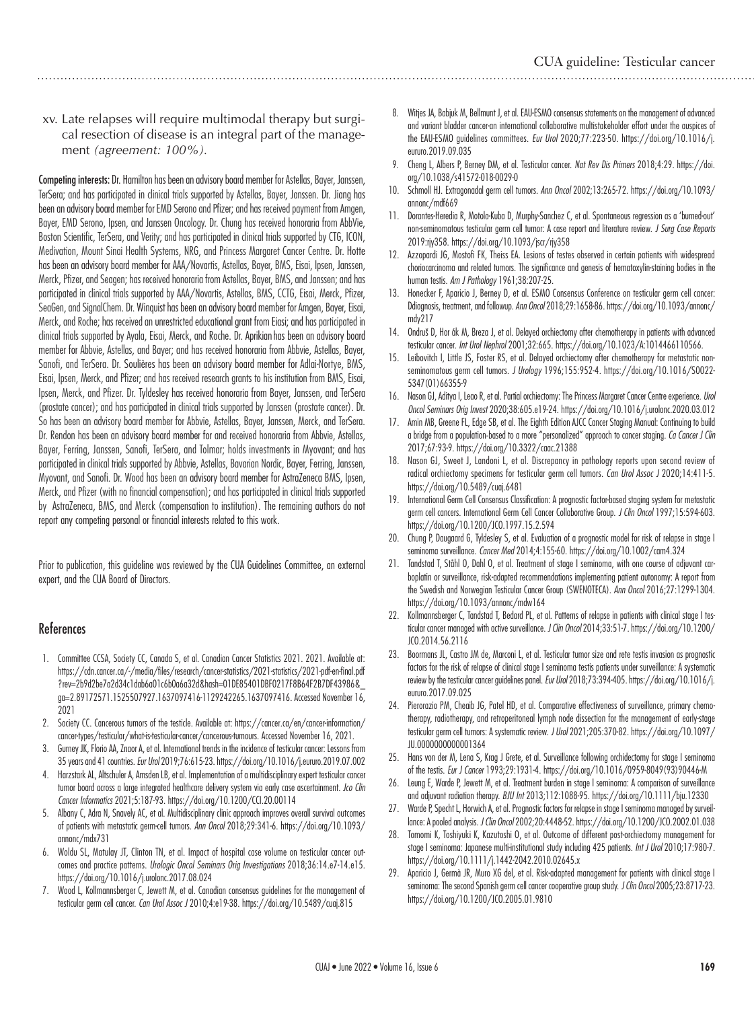xv. Late relapses will require multimodal therapy but surgical resection of disease is an integral part of the management *(agreement: 100%).*

Competing interests: Dr. Hamilton has been an advisory board member for Astellas, Bayer, Janssen, TerSera; and has participated in clinical trials supported by Astellas, Bayer, Janssen. Dr. Jiang has been an advisory board member for EMD Serono and Pfizer; and has received payment from Amgen, Bayer, EMD Serono, Ipsen, and Janssen Oncology. Dr. Chung has received honoraria from AbbVie, Boston Scientific, TerSera, and Verity; and has participated in clinical trials supported by CTG, ICON, Medivation, Mount Sinai Health Systems, NRG, and Princess Margaret Cancer Centre. Dr. Hotte has been an advisory board member for AAA/Novartis, Astellas, Bayer, BMS, Eisai, Ipsen, Janssen, Merck, Pfizer, and Seagen; has received honoraria from Astellas, Bayer, BMS, and Janssen; and has participated in clinical trials supported by AAA/Novartis, Astellas, BMS, CCTG, Eisai, Merck, Pfizer, SeaGen, and SignalChem. Dr. Winquist has been an advisory board member for Amgen, Bayer, Eisai, Merck, and Roche; has received an unrestricted educational grant from Eiasi; and has participated in clinical trials supported by Ayala, Eisai, Merck, and Roche. Dr. Aprikianhas been an advisory board member for Abbvie, Astellas, and Bayer; and has received honoraria from Abbvie, Astellas, Bayer, Sanofi, and TerSera. Dr. Soulières has been an advisory board member for Adlai-Nortye, BMS, Eisai, Ipsen, Merck, and Pfizer; and has received research grants to his institution from BMS, Eisai, Ipsen, Merck, and Pfizer. Dr. Tyldesley has received honoraria from Bayer, Janssen, and TerSera (prostate cancer); and has participated in clinical trials supported by Janssen (prostate cancer). Dr. So has been an advisory board member for Abbvie, Astellas, Bayer, Janssen, Merck, and TerSera. Dr. Rendon has been an advisory board member for and received honoraria from Abbvie, Astellas, Bayer, Ferring, Janssen, Sanofi, TerSera, and Tolmar; holds investments in Myovant; and has participated in clinical trials supported by Abbvie, Astellas, Bavarian Nordic, Bayer, Ferring, Janssen, Myovant, and Sanofi. Dr. Wood has been an advisory board member for AstraZeneca BMS, Ipsen, Merck, and Pfizer (with no financial compensation); and has participated in clinical trials supported by AstraZeneca, BMS, and Merck (compensation to institution). The remaining authors do not report any competing personal or financial interests related to this work.

Prior to publication, this guideline was reviewed by the CUA Guidelines Committee, an external expert, and the CUA Board of Directors.

#### References

- 1. Committee CCSA, Society CC, Canada S, et al. Canadian Cancer Statistics 2021. 2021. Available at: https://cdn.cancer.ca/-/media/files/research/cancer-statistics/2021-statistics/2021-pdf-en-final.pdf ?rev=2b9d2be7a2d34c1dab6a01c6b0a6a32d&hash=01DE85401DBF0217F8B64F2B7DF43986&\_ ga=2.89172571.1525507927.1637097416-1129242265.1637097416. Accessed November 16, 2021
- 2. Society CC. Cancerous tumors of the testicle. Available at: https://cancer.ca/en/cancer-information/ cancer-types/testicular/what-is-testicular-cancer/cancerous-tumours. Accessed November 16, 2021.
- 3. Gurney JK, Florio AA, Znaor A, et al. International trends in the incidence of testicular cancer: Lessons from 35 years and 41 countries. *Eur Urol* 2019;76:615-23. https://doi.org/10.1016/j.eururo.2019.07.002
- 4. Harzstark AL, Altschuler A, Amsden LB, et al. Implementation of a multidisciplinary expert testicular cancer tumor board across a large integrated healthcare delivery system via early case ascertainment. *Jco Clin Cancer Informatics* 2021;5:187-93. https://doi.org/10.1200/CCI.20.00114
- 5. Albany C, Adra N, Snavely AC, et al. Multidisciplinary clinic approach improves overall survival outcomes of patients with metastatic germ-cell tumors. *Ann Oncol* 2018;29:341-6. https://doi.org/10.1093/ annonc/mdx731
- 6. Woldu SL, Matulay JT, Clinton TN, et al. Impact of hospital case volume on testicular cancer outcomes and practice patterns. *Urologic Oncol Seminars Orig Investigations* 2018;36:14.e7-14.e15. https://doi.org/10.1016/j.urolonc.2017.08.024
- 7. Wood L, Kollmannsberger C, Jewett M, et al. Canadian consensus guidelines for the management of testicular germ cell cancer. *Can Urol Assoc J* 2010;4:e19-38. https://doi.org/10.5489/cuaj.815
- 8. Witjes JA, Babjuk M, Bellmunt J, et al. EAU-ESMO consensus statements on the management of advanced and variant bladder cancer-an international collaborative multistakeholder effort under the auspices of the EAU-ESMO guidelines committees. *Eur Urol* 2020;77:223-50. https://doi.org/10.1016/j. eururo.2019.09.035
- 9. Cheng L, Albers P, Berney DM, et al. Testicular cancer. *Nat Rev Dis Primers* 2018;4:29. https://doi. org/10.1038/s41572-018-0029-0
- 10. Schmoll HJ. Extragonadal germ cell tumors. *Ann Oncol* 2002;13:265-72. https://doi.org/10.1093/ annonc/mdf669
- 11. Dorantes-Heredia R, Motola-Kuba D, Murphy-Sanchez C, et al. Spontaneous regression as a 'burned-out' non-seminomatous testicular germ cell tumor: A case report and literature review. *J Surg Case Reports* 2019:rjy358. https://doi.org/10.1093/jscr/rjy358
- 12. Azzopardi JG, Mostofi FK, Theiss EA. Lesions of testes observed in certain patients with widespread choriocarcinoma and related tumors. The significance and genesis of hematoxylin-staining bodies in the human testis. *Am J Pathology* 1961;38:207-25.
- 13. Honecker F, Aparicio J, Berney D, et al. ESMO Consensus Conference on testicular germ cell cancer: Ddiagnosis, treatment, and followup. *Ann Oncol* 2018;29:1658-86. https://doi.org/10.1093/annonc/ mdy217
- 14. Ondruš D, Hor ák M, Breza J, et al. Delayed orchiectomy after chemotherapy in patients with advanced testicular cancer. *Int Urol Nephrol* 2001;32:665. https://doi.org/10.1023/A:1014466110566.
- 15. Leibovitch I, Little JS, Foster RS, et al. Delayed orchiectomy after chemotherapy for metastatic nonseminomatous germ cell tumors. *J Urology* 1996;155:952-4. https://doi.org/10.1016/S0022- 5347(01)66355-9
- 16. Nason GJ, Aditya I, Leao R, et al. Partial orchiectomy: The Princess Margaret Cancer Centre experience. *Urol Oncol Seminars Orig Invest* 2020;38:605.e19-24. https://doi.org/10.1016/j.urolonc.2020.03.012
- 17. Amin MB, Greene FL, Edge SB, et al. The Eighth Edition AJCC Cancer Staging Manual: Continuing to build a bridge from a population‐based to a more "personalized" approach to cancer staging. *Ca Cancer J Clin* 2017;67:93-9. https://doi.org/10.3322/caac.21388
- 18. Nason GJ, Sweet J, Landoni L, et al. Discrepancy in pathology reports upon second review of radical orchiectomy specimens for testicular germ cell tumors. *Can Urol Assoc J* 2020;14:411-5. https://doi.org/10.5489/cuaj.6481
- 19. International Germ Cell Consensus Classification: A prognostic factor-based staging system for metastatic germ cell cancers. International Germ Cell Cancer Collaborative Group. *J Clin Oncol* 1997;15:594-603. https://doi.org/10.1200/JCO.1997.15.2.594
- 20. Chung P, Daugaard G, Tyldesley S, et al. Evaluation of a prognostic model for risk of relapse in stage I seminoma surveillance. *Cancer Med* 2014;4:155-60. https://doi.org/10.1002/cam4.324
- 21. Tandstad T, Ståhl O, Dahl O, et al. Treatment of stage I seminoma, with one course of adjuvant carboplatin or surveillance, risk-adapted recommendations implementing patient autonomy: A report from the Swedish and Norwegian Testicular Cancer Group (SWENOTECA). *Ann Oncol* 2016;27:1299-1304. https://doi.org/10.1093/annonc/mdw164
- 22. Kollmannsberger C, Tandstad T, Bedard PL, et al. Patterns of relapse in patients with clinical stage I testicular cancer managed with active surveillance. *J Clin Oncol* 2014;33:51-7. https://doi.org/10.1200/ JCO.2014.56.2116
- 23. Boormans JL, Castro JM de, Marconi L, et al. Testicular tumor size and rete testis invasion as prognostic factors for the risk of relapse of clinical stage I seminoma testis patients under surveillance: A systematic review by the testicular cancer guidelines panel. *Eur Urol* 2018;73:394-405. https://doi.org/10.1016/j. eururo.2017.09.025
- 24. Pierorazio PM, Cheaib JG, Patel HD, et al. Comparative effectiveness of surveillance, primary chemotherapy, radiotherapy, and retroperitoneal lymph node dissection for the management of early-stage testicular germ cell tumors: A systematic review. *J Urol* 2021;205:370-82. https://doi.org/10.1097/ JU.0000000000001364
- 25. Hans von der M, Lena S, Krag J Grete, et al. Surveillance following orchidectomy for stage I seminoma of the testis. *Eur J Cancer* 1993;29:1931-4. https://doi.org/10.1016/0959-8049(93)90446-M
- 26. Leung E, Warde P, Jewett M, et al. Treatment burden in stage I seminoma: A comparison of surveillance and adjuvant radiation therapy. *BJU Int* 2013;112:1088-95. https://doi.org/10.1111/bju.12330
- 27. Warde P, Specht L, Horwich A, et al. Prognostic factors for relapse in stage I seminoma managed by surveillance: A pooled analysis. *J Clin Oncol* 2002;20:4448-52. https://doi.org/10.1200/JCO.2002.01.038
- 28. Tomomi K, Toshiyuki K, Kazutoshi O, et al. Outcome of different post-orchiectomy management for stage I seminoma: Japanese multi-institutional study including 425 patients. *Int J Urol* 2010;17:980-7. https://doi.org/10.1111/j.1442-2042.2010.02645.x
- 29. Aparicio J, Germà JR, Muro XG del, et al. Risk-adapted management for patients with clinical stage I seminoma: The second Spanish germ cell cancer cooperative group study. *J Clin Oncol* 2005;23:8717-23. https://doi.org/10.1200/JCO.2005.01.9810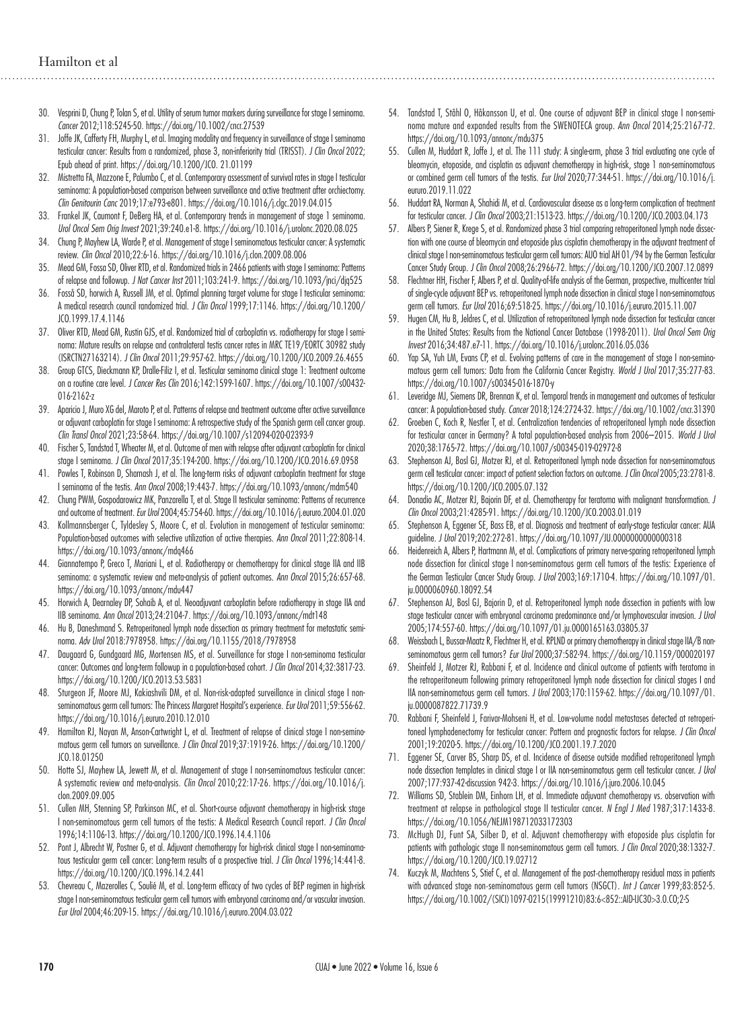- 30. Vesprini D, Chung P, Tolan S, et al. Utility of serum tumor markers during surveillance for stage I seminoma. *Cancer* 2012;118:5245-50. https://doi.org/10.1002/cncr.27539
- 31. Joffe JK, Cafferty FH, Murphy L, et al. Imaging modality and frequency in surveillance of stage I seminoma testicular cancer: Results from a randomized, phase 3, non-inferiority trial (TRISST). *J Clin Oncol* 2022; Epub ahead of print. https://doi.org/10.1200/JCO. 21.01199
- 32. Mistretta FA, Mazzone E, Palumbo C, et al. Contemporary assessment of survival rates in stage I testicular seminoma: A population-based comparison between surveillance and active treatment after orchiectomy. *Clin Genitourin Canc* 2019;17:e793-e801. https://doi.org/10.1016/j.clgc.2019.04.015
- 33. Frankel JK, Caumont F, DeBerg HA, et al. Contemporary trends in management of stage 1 seminoma. *Urol Oncol Sem Orig Invest* 2021;39:240.e1-8. https://doi.org/10.1016/j.urolonc.2020.08.025
- 34. Chung P, Mayhew LA, Warde P, et al. Management of stage I seminomatous testicular cancer: A systematic review. *Clin Oncol* 2010;22:6-16. https://doi.org/10.1016/j.clon.2009.08.006
- 35. Mead GM, Fossa SD, Oliver RTD, et al. Randomized trials in 2466 patients with stage I seminoma: Patterns of relapse and followup. *J Nat Cancer Inst* 2011;103:241-9. https://doi.org/10.1093/jnci/djq525
- 36. Fosså SD, horwich A, Russell JM, et al. Optimal planning target volume for stage I testicular seminoma: A medical research council randomized trial. *J Clin Oncol* 1999;17:1146. https://doi.org/10.1200/ JCO.1999.17.4.1146
- 37. Oliver RTD, Mead GM, Rustin GJS, et al. Randomized trial of carboplatin vs. radiotherapy for stage I seminoma: Mature results on relapse and contralateral testis cancer rates in MRC TE19/EORTC 30982 study (ISRCTN27163214). *J Clin Oncol* 2011;29:957-62. https://doi.org/10.1200/JCO.2009.26.4655
- 38. Group GTCS, Dieckmann KP, Dralle-Filiz I, et al. Testicular seminoma clinical stage 1: Treatment outcome on a routine care level. *J Cancer Res Clin* 2016;142:1599-1607. https://doi.org/10.1007/s00432- 016-2162-z
- 39. Aparicio J, Muro XG del, Maroto P, et al. Patterns of relapse and treatment outcome after active surveillance or adjuvant carboplatin for stage I seminoma: A retrospective study of the Spanish germ cell cancer group. *Clin Transl Oncol* 2021;23:58-64. https://doi.org/10.1007/s12094-020-02393-9
- 40. Fischer S, Tandstad T, Wheater M, et al. Outcome of men with relapse after adjuvant carboplatin for clinical stage I seminoma. *J Clin Oncol* 2017;35:194-200. https://doi.org/10.1200/JCO.2016.69.0958
- 41. Powles T, Robinson D, Shamash J, et al. The long-term risks of adjuvant carboplatin treatment for stage I seminoma of the testis. *Ann Oncol* 2008;19:443-7. https://doi.org/10.1093/annonc/mdm540
- 42. Chung PWM, Gospodarowicz MK, Panzarella T, et al. Stage II testicular seminoma: Patterns of recurrence and outcome of treatment. *Eur Urol* 2004;45:754-60. https://doi.org/10.1016/j.eururo.2004.01.020
- 43. Kollmannsberger C, Tyldesley S, Moore C, et al. Evolution in management of testicular seminoma: Population-based outcomes with selective utilization of active therapies. *Ann Oncol* 2011;22:808-14. https://doi.org/10.1093/annonc/mdq466
- 44. Giannatempo P, Greco T, Mariani L, et al. Radiotherapy or chemotherapy for clinical stage IIA and IIB seminoma: a systematic review and meta-analysis of patient outcomes. *Ann Oncol* 2015;26:657-68. https://doi.org/10.1093/annonc/mdu447
- 45. Horwich A, Dearnaley DP, Sohaib A, et al. Neoadjuvant carboplatin before radiotherapy in stage IIA and IIB seminoma. *Ann Oncol* 2013;24:2104-7. https://doi.org/10.1093/annonc/mdt148
- 46. Hu B, Daneshmand S. Retroperitoneal lymph node dissection as primary treatment for metastatic seminoma. *Adv Urol* 2018:7978958. https://doi.org/10.1155/2018/7978958
- 47. Daugaard G, Gundgaard MG, Mortensen MS, et al. Surveillance for stage I non-seminoma testicular cancer: Outcomes and long-term followup in a population-based cohort. *J Clin Oncol* 2014;32:3817-23. https://doi.org/10.1200/JCO.2013.53.5831
- 48. Sturgeon JF, Moore MJ, Kakiashvili DM, et al. Non-risk-adapted surveillance in clinical stage I nonseminomatous germ cell tumors: The Princess Margaret Hospital's experience. *Eur Urol* 2011;59:556-62. https://doi.org/10.1016/j.eururo.2010.12.010
- 49. Hamilton RJ, Nayan M, Anson-Cartwright L, et al. Treatment of relapse of clinical stage I non-seminomatous germ cell tumors on surveillance. *J Clin Oncol* 2019;37:1919-26. https://doi.org/10.1200/ JCO.18.01250
- 50. Hotte SJ, Mayhew LA, Jewett M, et al. Management of stage I non-seminomatous testicular cancer: A systematic review and meta-analysis. *Clin Oncol* 2010;22:17-26. https://doi.org/10.1016/j. clon.2009.09.005
- 51. Cullen MH, Stenning SP, Parkinson MC, et al. Short-course adjuvant chemotherapy in high-risk stage I non-seminomatous germ cell tumors of the testis: A Medical Research Council report. *J Clin Oncol* 1996;14:1106-13. https://doi.org/10.1200/JCO.1996.14.4.1106
- 52. Pont J, Albrecht W, Postner G, et al. Adjuvant chemotherapy for high-risk clinical stage I non-seminomatous testicular germ cell cancer: Long-term results of a prospective trial. *J Clin Oncol* 1996;14:441-8. https://doi.org/10.1200/JCO.1996.14.2.441
- 53. Chevreau C, Mazerolles C, Soulié M, et al. Long-term efficacy of two cycles of BEP regimen in high-risk stage I non-seminomatous testicular germ cell tumors with embryonal carcinoma and/or vascular invasion. *Eur Urol* 2004;46:209-15. https://doi.org/10.1016/j.eururo.2004.03.022
- 54. Tandstad T, Ståhl O, Håkansson U, et al. One course of adjuvant BEP in clinical stage I non-seminoma mature and expanded results from the SWENOTECA group. *Ann Oncol* 2014;25:2167-72. https://doi.org/10.1093/annonc/mdu375
- 55. Cullen M, Huddart R, Joffe J, et al. The 111 study: A single-arm, phase 3 trial evaluating one cycle of bleomycin, etoposide, and cisplatin as adjuvant chemotherapy in high-risk, stage 1 non-seminomatous or combined germ cell tumors of the testis. *Eur Urol* 2020;77:344-51. https://doi.org/10.1016/j. eururo.2019.11.022
- 56. Huddart RA, Norman A, Shahidi M, et al. Cardiovascular disease as a long-term complication of treatment for testicular cancer. *J Clin Oncol* 2003;21:1513-23. https://doi.org/10.1200/JCO.2003.04.173
- 57. Albers P, Siener R, Krege S, et al. Randomized phase 3 trial comparing retroperitoneal lymph node dissection with one course of bleomycin and etoposide plus cisplatin chemotherapy in the adjuvant treatment of clinical stage I non-seminomatous testicular germ cell tumors: AUO trial AH 01/94 by the German Testicular Cancer Study Group. *J Clin Oncol* 2008;26:2966-72. https://doi.org/10.1200/JCO.2007.12.0899
- 58. Flechtner HH, Fischer F, Albers P, et al. Quality-of-life analysis of the German, prospective, multicenter trial of single-cycle adjuvant BEP vs. retroperitoneal lymph node dissection in clinical stage I non-seminomatous germ cell tumors. *Eur Urol* 2016;69:518-25. https://doi.org/10.1016/j.eururo.2015.11.007
- 59. Hugen CM, Hu B, Jeldres C, et al. Utilization of retroperitoneal lymph node dissection for testicular cancer in the United States: Results from the National Cancer Database (1998-2011). *Urol Oncol Sem Orig Invest* 2016;34:487.e7-11. https://doi.org/10.1016/j.urolonc.2016.05.036
- 60. Yap SA, Yuh LM, Evans CP, et al. Evolving patterns of care in the management of stage I non-seminomatous germ cell tumors: Data from the California Cancer Registry. *World J Urol* 2017;35:277-83. https://doi.org/10.1007/s00345-016-1870-y
- 61. Leveridge MJ, Siemens DR, Brennan K, et al. Temporal trends in management and outcomes of testicular cancer: A population-based study. *Cancer* 2018;124:2724-32. https://doi.org/10.1002/cncr.31390
- 62. Groeben C, Koch R, Nestler T, et al. Centralization tendencies of retroperitoneal lymph node dissection for testicular cancer in Germany? A total population-based analysis from 2006–2015. *World J Urol* 2020;38:1765-72. https://doi.org/10.1007/s00345-019-02972-8
- 63. Stephenson AJ, Bosl GJ, Motzer RJ, et al. Retroperitoneal lymph node dissection for non-seminomatous germ cell testicular cancer: impact of patient selection factors on outcome. *J Clin Oncol* 2005;23:2781-8. https://doi.org/10.1200/JCO.2005.07.132
- 64. Donadio AC, Motzer RJ, Bajorin DF, et al. Chemotherapy for teratoma with malignant transformation. *J Clin Oncol* 2003;21:4285-91. https://doi.org/10.1200/JCO.2003.01.019
- 65. Stephenson A, Eggener SE, Bass EB, et al. Diagnosis and treatment of early-stage testicular cancer: AUA guideline. *J Urol* 2019;202:272-81. https://doi.org/10.1097/JU.0000000000000318
- 66. Heidenreich A, Albers P, Hartmann M, et al. Complications of primary nerve-sparing retroperitoneal lymph node dissection for clinical stage I non-seminomatous germ cell tumors of the testis: Experience of the German Testicular Cancer Study Group. *J Urol* 2003;169:1710-4. https://doi.org/10.1097/01. ju.0000060960.18092.54
- 67. Stephenson AJ, Bosl GJ, Bajorin D, et al. Retroperitoneal lymph node dissection in patients with low stage testicular cancer with embryonal carcinoma predominance and/or lymphovascular invasion. *J Urol*  2005;174:557-60. https://doi.org/10.1097/01.ju.0000165163.03805.37
- 68. Weissbach L, Bussar-Maatz R, Flechtner H, et al. RPLND or primary chemotherapy in clinical stage IIA/B nonseminomatous germ cell tumors? *Eur Urol* 2000;37:582-94. https://doi.org/10.1159/000020197
- 69. Sheinfeld J, Motzer RJ, Rabbani F, et al. Incidence and clinical outcome of patients with teratoma in the retroperitoneum following primary retroperitoneal lymph node dissection for clinical stages I and IIA non-seminomatous germ cell tumors. *J Urol* 2003;170:1159-62. https://doi.org/10.1097/01. ju.0000087822.71739.9
- 70. Rabbani F, Sheinfeld J, Farivar-Mohseni H, et al. Low-volume nodal metastases detected at retroperitoneal lymphadenectomy for testicular cancer: Pattern and prognostic factors for relapse. *J Clin Oncol* 2001;19:2020-5. https://doi.org/10.1200/JCO.2001.19.7.2020
- 71. Eggener SE, Carver BS, Sharp DS, et al. Incidence of disease outside modified retroperitoneal lymph node dissection templates in clinical stage I or IIA non-seminomatous germ cell testicular cancer. *J Urol* 2007;177:937-42-discussion 942-3. https://doi.org/10.1016/j.juro.2006.10.045
- 72. Williams SD, Stablein DM, Einhorn LH, et al. Immediate adjuvant chemotherapy vs. observation with treatment at relapse in pathological stage II testicular cancer. *N Engl J Med* 1987;317:1433-8. https://doi.org/10.1056/NEJM198712033172303
- 73. McHugh DJ, Funt SA, Silber D, et al. Adjuvant chemotherapy with etoposide plus cisplatin for patients with pathologic stage II non-seminomatous germ cell tumors. *J Clin Oncol* 2020;38:1332-7. https://doi.org/10.1200/JCO.19.02712
- 74. Kuczyk M, Machtens S, Stief C, et al. Management of the post-chemotherapy residual mass in patients with advanced stage non‐seminomatous germ cell tumors (NSGCT). *Int J Cancer* 1999;83:852-5. https://doi.org/10.1002/(SICI)1097-0215(19991210)83:6<852::AID-IJC30>3.0.CO;2-S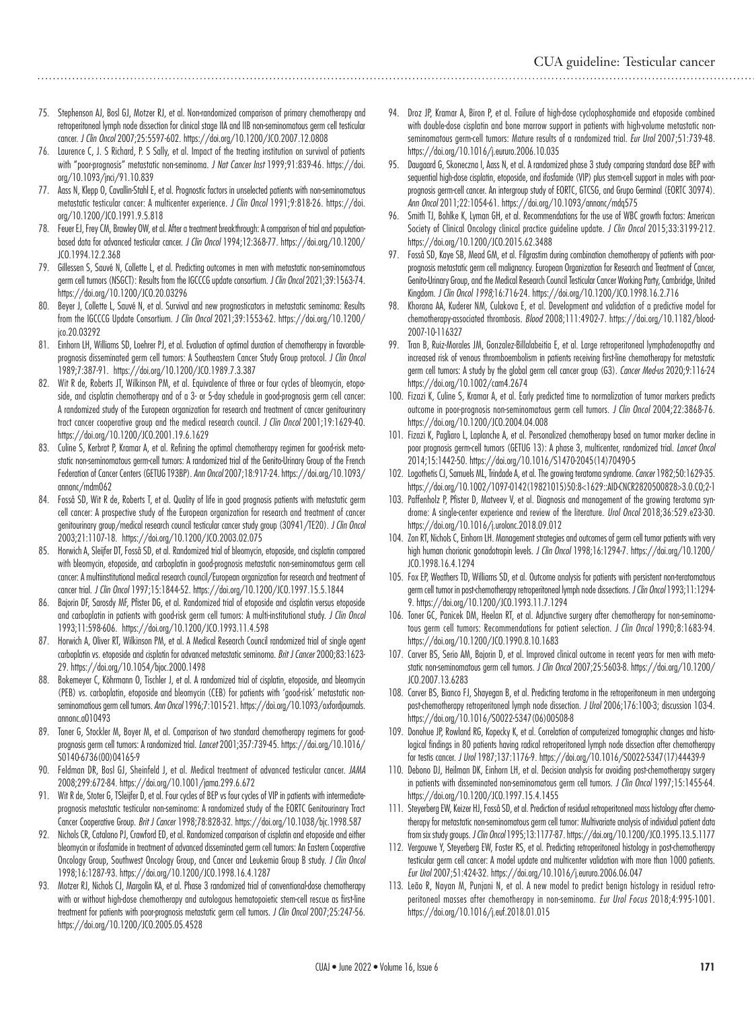- 75. Stephenson AJ, Bosl GJ, Motzer RJ, et al. Non-randomized comparison of primary chemotherapy and retroperitoneal lymph node dissection for clinical stage IIA and IIB non-seminomatous germ cell testicular cancer. *J Clin Oncol* 2007;25:5597-602. https://doi.org/10.1200/JCO.2007.12.0808
- 76. Laurence C, J. S Richard, P. S Sally, et al. Impact of the treating institution on survival of patients with "poor-prognosis" metastatic non-seminoma. *J Nat Cancer Inst* 1999;91:839-46. https://doi. org/10.1093/jnci/91.10.839
- 77. Aass N, Klepp O, Cavallin-Stahl E, et al. Prognostic factors in unselected patients with non-seminomatous metastatic testicular cancer: A multicenter experience. *J Clin Oncol* 1991;9:818-26. https://doi. org/10.1200/JCO.1991.9.5.818
- 78. Feuer EJ, Frey CM, Brawley OW, et al. After a treatment breakthrough: A comparison of trial and populationbased data for advanced testicular cancer. *J Clin Oncol* 1994;12:368-77. https://doi.org/10.1200/ JCO.1994.12.2.368
- 79. Gillessen S, Sauvé N, Collette L, et al. Predicting outcomes in men with metastatic non-seminomatous germ cell tumors (NSGCT): Results from the IGCCCG update consortium. *J Clin Oncol* 2021;39:1563-74. https://doi.org/10.1200/JCO.20.03296
- Beyer J, Collette L, Sauvé N, et al. Survival and new prognosticators in metastatic seminoma: Results from the IGCCCG Update Consortium. *J Clin Oncol* 2021;39:1553-62. https://doi.org/10.1200/ jco.20.03292
- 81. Einhorn LH, Williams SD, Loehrer PJ, et al. Evaluation of optimal duration of chemotherapy in favorableprognosis disseminated germ cell tumors: A Southeastern Cancer Study Group protocol. *J Clin Oncol* 1989;7:387-91. https://doi.org/10.1200/JCO.1989.7.3.387
- 82. Wit R de, Roberts JT, Wilkinson PM, et al. Equivalence of three or four cycles of bleomycin, etoposide, and cisplatin chemotherapy and of a 3- or 5-day schedule in good-prognosis germ cell cancer: A randomized study of the European organization for research and treatment of cancer genitourinary tract cancer cooperative group and the medical research council. *J Clin Oncol* 2001;19:1629-40. https://doi.org/10.1200/JCO.2001.19.6.1629
- 83. Culine S, Kerbrat P, Kramar A, et al. Refining the optimal chemotherapy regimen for good-risk metastatic non-seminomatous germ-cell tumors: A randomized trial of the Genito-Urinary Group of the French Federation of Cancer Centers (GETUG T93BP). *Ann Oncol* 2007;18:917-24. https://doi.org/10.1093/ annonc/mdm062
- 84. Fosså SD, Wit R de, Roberts T, et al. Quality of life in good prognosis patients with metastatic germ cell cancer: A prospective study of the European organization for research and treatment of cancer genitourinary group/medical research council testicular cancer study group (30941/TE20). *J Clin Oncol* 2003;21:1107-18. https://doi.org/10.1200/JCO.2003.02.075
- 85. Horwich A, Sleijfer DT, Fosså SD, et al. Randomized trial of bleomycin, etoposide, and cisplatin compared with bleomycin, etoposide, and carboplatin in good-prognosis metastatic non-seminomatous germ cell cancer: A multiinstitutional medical research council/European organization for research and treatment of cancer trial. *J Clin Oncol* 1997;15:1844-52. https://doi.org/10.1200/JCO.1997.15.5.1844
- 86. Bajorin DF, Sarosdy MF, Pfister DG, et al. Randomized trial of etoposide and cisplatin versus etoposide and carboplatin in patients with good-risk germ cell tumors: A multi-institutional study. *J Clin Oncol* 1993;11:598-606. https://doi.org/10.1200/JCO.1993.11.4.598
- 87. Horwich A, Oliver RT, Wilkinson PM, et al. A Medical Research Council randomized trial of single agent carboplatin vs. etoposide and cisplatin for advanced metastatic seminoma. *Brit J Cancer* 2000;83:1623- 29. https://doi.org/10.1054/bjoc.2000.1498
- Bokemeyer C, Köhrmann O, Tischler J, et al. A randomized trial of cisplatin, etoposide, and bleomycin (PEB) vs. carboplatin, etoposide and bleomycin (CEB) for patients with 'good-risk' metastatic nonseminomatious germ cell tumors. *Ann Oncol* 1996;7:1015-21. https://doi.org/10.1093/oxfordjournals. annonc.a010493
- 89. Toner G, Stockler M, Boyer M, et al. Comparison of two standard chemotherapy regimens for goodprognosis germ cell tumors: A randomized trial. *Lancet* 2001;357:739-45. https://doi.org/10.1016/ S0140-6736(00)04165-9
- 90. Feldman DR, Bosl GJ, Sheinfeld J, et al. Medical treatment of advanced testicular cancer. *JAMA* 2008;299:672-84. https://doi.org/10.1001/jama.299.6.672
- 91. Wit R de, Stoter G, TSleijfer D, et al. Four cycles of BEP vs four cycles of VIP in patients with intermediateprognosis metastatic testicular non-seminoma: A randomized study of the EORTC Genitourinary Tract Cancer Cooperative Group. *Brit J Cancer* 1998;78:828-32. https://doi.org/10.1038/bjc.1998.587
- 92. Nichols CR, Catalano PJ, Crawford ED, et al. Randomized comparison of cisplatin and etoposide and either bleomycin or ifosfamide in treatment of advanced disseminated germ cell tumors: An Eastern Cooperative Oncology Group, Southwest Oncology Group, and Cancer and Leukemia Group B study. *J Clin Oncol* 1998;16:1287-93. https://doi.org/10.1200/JCO.1998.16.4.1287
- 93. Motzer RJ, Nichols CJ, Margolin KA, et al. Phase 3 randomized trial of conventional-dose chemotherapy with or without high-dose chemotherapy and autologous hematopoietic stem-cell rescue as first-line treatment for patients with poor-prognosis metastatic germ cell tumors. *J Clin Oncol* 2007;25:247-56. https://doi.org/10.1200/JCO.2005.05.4528
- 94. Droz JP, Kramar A, Biron P, et al. Failure of high-dose cyclophosphamide and etoposide combined with double-dose cisplatin and bone marrow support in patients with high-volume metastatic nonseminomatous germ-cell tumors: Mature results of a randomized trial. *Eur Urol* 2007;51:739-48. https://doi.org/10.1016/j.eururo.2006.10.035
- 95. Daugaard G, Skoneczna I, Aass N, et al. A randomized phase 3 study comparing standard dose BEP with sequential high-dose cisplatin, etoposide, and ifosfamide (VIP) plus stem-cell support in males with poorprognosis germ-cell cancer. An intergroup study of EORTC, GTCSG, and Grupo Germinal (EORTC 30974). *Ann Oncol* 2011;22:1054-61. https://doi.org/10.1093/annonc/mdq575
- 96. Smith TJ, Bohlke K, Lyman GH, et al. Recommendations for the use of WBC growth factors: American Society of Clinical Oncology clinical practice guideline update. *J Clin Oncol* 2015;33:3199-212. https://doi.org/10.1200/JCO.2015.62.3488
- 97. Fosså SD, Kaye SB, Mead GM, et al. Filgrastim during combination chemotherapy of patients with poorprognosis metastatic germ cell malignancy. European Organization for Research and Treatment of Cancer, Genito-Urinary Group, and the Medical Research Council Testicular Cancer Working Party, Cambridge, United Kingdom. *J Clin Oncol 1998;*16:716-24. https://doi.org/10.1200/JCO.1998.16.2.716
- Khorana AA, Kuderer NM, Culakova E, et al. Development and validation of a predictive model for chemotherapy-associated thrombosis. *Blood* 2008;111:4902-7. https://doi.org/10.1182/blood-2007-10-116327
- 99. Tran B, Ruiz-Morales JM, Gonzalez-Billalabeitia E, et al. Large retroperitoneal lymphadenopathy and increased risk of venous thromboembolism in patients receiving first-line chemotherapy for metastatic germ cell tumors: A study by the global germ cell cancer group (G3). *Cancer Med-us* 2020;9:116-24 https://doi.org/10.1002/cam4.2674
- 100. Fizazi K, Culine S, Kramar A, et al. Early predicted time to normalization of tumor markers predicts outcome in poor-prognosis non-seminomatous germ cell tumors. *J Clin Oncol* 2004;22:3868-76. https://doi.org/10.1200/JCO.2004.04.008
- 101. Fizazi K, Pagliaro L, Laplanche A, et al. Personalized chemotherapy based on tumor marker decline in poor prognosis germ-cell tumors (GETUG 13): A phase 3, multicenter, randomized trial. *Lancet Oncol* 2014;15:1442-50. https://doi.org/10.1016/S1470-2045(14)70490-5
- 102. Logothetis CJ, Samuels ML, Trindade A, et al. The growing teratoma syndrome. *Cancer* 1982;50:1629-35. https://doi.org/10.1002/1097-0142(19821015)50:8<1629::AID-CNCR2820500828>3.0.CO;2-1
- 103. Paffenholz P, Pfister D, Matveev V, et al. Diagnosis and management of the growing teratoma syndrome: A single-center experience and review of the literature. *Urol Oncol* 2018;36:529.e23-30. https://doi.org/10.1016/j.urolonc.2018.09.012
- 104. Zon RT, Nichols C, Einhorn LH. Management strategies and outcomes of germ cell tumor patients with very high human chorionic gonadotropin levels. *J Clin Oncol* 1998;16:1294-7. https://doi.org/10.1200/ JCO.1998.16.4.1294
- 105. Fox EP, Weathers TD, Williams SD, et al. Outcome analysis for patients with persistent non-teratomatous germ cell tumor in post-chemotherapy retroperitoneal lymph node dissections. *J Clin Oncol* 1993;11:1294- 9. https://doi.org/10.1200/JCO.1993.11.7.1294
- 106. Toner GC, Panicek DM, Heelan RT, et al. Adjunctive surgery after chemotherapy for non-seminomatous germ cell tumors: Recommendations for patient selection. *J Clin Oncol* 1990;8:1683-94. https://doi.org/10.1200/JCO.1990.8.10.1683
- 107. Carver BS, Serio AM, Bajorin D, et al. Improved clinical outcome in recent years for men with metastatic non-seminomatous germ cell tumors. *J Clin Oncol* 2007;25:5603-8. https://doi.org/10.1200/ JCO.2007.13.6283
- 108. Carver BS, Bianco FJ, Shayegan B, et al. Predicting teratoma in the retroperitoneum in men undergoing post-chemotherapy retroperitoneal lymph node dissection. *J Urol* 2006;176:100-3; discussion 103-4. https://doi.org/10.1016/S0022-5347(06)00508-8
- 109. Donohue JP, Rowland RG, Kopecky K, et al. Correlation of computerized tomographic changes and histological findings in 80 patients having radical retroperitoneal lymph node dissection after chemotherapy for testis cancer. *J Urol* 1987;137:1176-9. https://doi.org/10.1016/S0022-5347(17)44439-9
- 110. Debono DJ, Heilman DK, Einhorn LH, et al. Decision analysis for avoiding post-chemotherapy surgery in patients with disseminated non-seminomatous germ cell tumors. *J Clin Oncol* 1997;15:1455-64. https://doi.org/10.1200/JCO.1997.15.4.1455
- 111. Steyerberg EW, Keizer HJ, Fosså SD, et al. Prediction of residual retroperitoneal mass histology after chemotherapy for metastatic non-seminomatous germ cell tumor: Multivariate analysis of individual patient data from six study groups. *J Clin Oncol* 1995;13:1177-87. https://doi.org/10.1200/JCO.1995.13.5.1177
- 112. Vergouwe Y, Steyerberg EW, Foster RS, et al. Predicting retroperitoneal histology in post-chemotherapy testicular germ cell cancer: A model update and multicenter validation with more than 1000 patients. *Eur Urol* 2007;51:424-32. https://doi.org/10.1016/j.eururo.2006.06.047
- 113. Leão R, Nayan M, Punjani N, et al. A new model to predict benign histology in residual retroperitoneal masses after chemotherapy in non-seminoma. *Eur Urol Focus* 2018;4:995-1001. https://doi.org/10.1016/j.euf.2018.01.015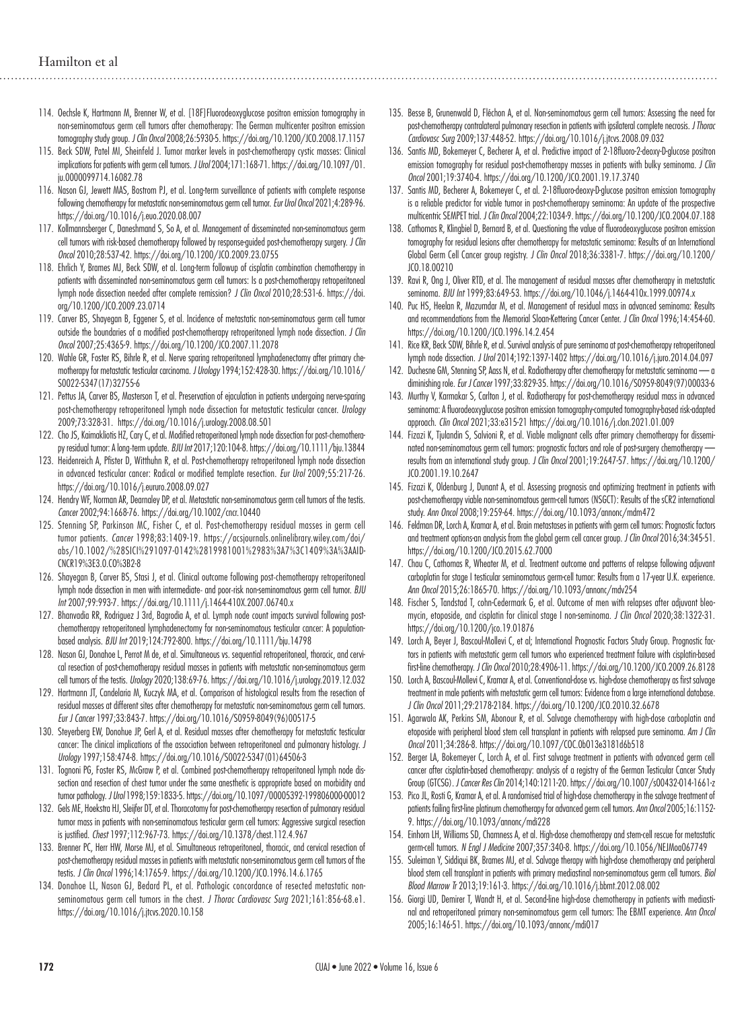- 114. Oechsle K, Hartmann M, Brenner W, et al. [18F]Fluorodeoxyglucose positron emission tomography in non-seminomatous germ cell tumors after chemotherapy: The German multicenter positron emission tomography study group. *J Clin Oncol* 2008;26:5930-5. https://doi.org/10.1200/JCO.2008.17.1157
- 115. Beck SDW, Patel MI, Sheinfeld J. Tumor marker levels in post-chemotherapy cystic masses: Clinical implications for patients with germ cell tumors. *J Urol* 2004;171:168-71. https://doi.org/10.1097/01. ju.0000099714.16082.78
- 116. Nason GJ, Jewett MAS, Bostrom PJ, et al. Long-term surveillance of patients with complete response following chemotherapy for metastatic non-seminomatous germ cell tumor. *Eur Urol Oncol* 2021;4:289-96. https://doi.org/10.1016/j.euo.2020.08.007
- 117. Kollmannsberger C, Daneshmand S, So A, et al. Management of disseminated non-seminomatous germ cell tumors with risk-based chemotherapy followed by response-guided post-chemotherapy surgery. *J Clin Oncol* 2010;28:537-42. https://doi.org/10.1200/JCO.2009.23.0755
- 118. Ehrlich Y, Brames MJ, Beck SDW, et al. Long-term followup of cisplatin combination chemotherapy in patients with disseminated non-seminomatous germ cell tumors: Is a post-chemotherapy retroperitoneal lymph node dissection needed after complete remission? *J Clin Oncol* 2010;28:531-6. https://doi. org/10.1200/JCO.2009.23.0714
- 119. Carver BS, Shayegan B, Eggener S, et al. Incidence of metastatic non-seminomatous germ cell tumor outside the boundaries of a modified post-chemotherapy retroperitoneal lymph node dissection. *J Clin Oncol* 2007;25:4365-9. https://doi.org/10.1200/JCO.2007.11.2078
- 120. Wahle GR, Foster RS, Bihrle R, et al. Nerve sparing retroperitoneal lymphadenectomy after primary chemotherapy for metastatic testicular carcinoma. *J Urology* 1994;152:428-30. https://doi.org/10.1016/ S0022-5347(17)32755-6
- 121. Pettus JA, Carver BS, Masterson T, et al. Preservation of ejaculation in patients undergoing nerve-sparing post-chemotherapy retroperitoneal lymph node dissection for metastatic testicular cancer. *Urology* 2009;73:328-31. https://doi.org/10.1016/j.urology.2008.08.501
- 122. Cho JS, Kaimakliotis HZ, Cary C, et al. Modified retroperitoneal lymph node dissection for post-chemotherapy residual tumor: A long‐term update. *BJU Int* 2017;120:104-8. https://doi.org/10.1111/bju.13844
- 123. Heidenreich A, Pfister D, Witthuhn R, et al. Post-chemotherapy retroperitoneal lymph node dissection in advanced testicular cancer: Radical or modified template resection. *Eur Urol* 2009;55:217-26. https://doi.org/10.1016/j.eururo.2008.09.027
- 124. Hendry WF, Norman AR, Dearnaley DP, et al. Metastatic non-seminomatous germ cell tumors of the testis. *Cancer* 2002;94:1668-76. https://doi.org/10.1002/cncr.10440
- 125. Stenning SP, Parkinson MC, Fisher C, et al. Post-chemotherapy residual masses in germ cell tumor patients. *Cancer* 1998;83:1409-19. https://acsjournals.onlinelibrary.wiley.com/doi/ abs/10.1002/%28SICI%291097-0142%2819981001%2983%3A7%3C1409%3A%3AAID-CNCR19%3E3.0.CO%3B2-8
- 126. Shayegan B, Carver BS, Stasi J, et al. Clinical outcome following post-chemotherapy retroperitoneal lymph node dissection in men with intermediate‐ and poor‐risk non-seminomatous germ cell tumor. *BJU Int* 2007;99:993-7. https://doi.org/10.1111/j.1464-410X.2007.06740.x
- 127. Bhanvadia RR, Rodriguez J 3rd, Bagrodia A, et al. Lymph node count impacts survival following postchemotherapy retroperitoneal lymphadenectomy for non-seminomatous testicular cancer: A populationbased analysis. *BJU Int* 2019;124:792-800. https://doi.org/10.1111/bju.14798
- 128. Nason GJ, Donahoe L, Perrot M de, et al. Simultaneous vs. sequential retroperitoneal, thoracic, and cervical resection of post-chemotherapy residual masses in patients with metastatic non-seminomatous germ cell tumors of the testis. *Urology* 2020;138:69-76. https://doi.org/10.1016/j.urology.2019.12.032
- 129. Hartmann JT, Candelaria M, Kuczyk MA, et al. Comparison of histological results from the resection of residual masses at different sites after chemotherapy for metastatic non-seminomatous germ cell tumors. *Eur J Cancer* 1997;33:843-7. https://doi.org/10.1016/S0959-8049(96)00517-5
- 130. Steyerberg EW, Donohue JP, Gerl A, et al. Residual masses after chemotherapy for metastatic testicular cancer: The clinical implications of the association between retroperitoneal and pulmonary histology. *J Urology* 1997;158:474-8. https://doi.org/10.1016/S0022-5347(01)64506-3
- 131. Tognoni PG, Foster RS, McGraw P, et al. Combined post-chemotherapy retroperitoneal lymph node dissection and resection of chest tumor under the same anesthetic is appropriate based on morbidity and tumor pathology. *J Urol* 1998;159:1833-5. https://doi.org/10.1097/00005392-199806000-00012
- 132. Gels ME, Hoekstra HJ, Sleijfer DT, et al. Thoracotomy for post-chemotherapy resection of pulmonary residual tumor mass in patients with non-seminomatous testicular germ cell tumors: Aggressive surgical resection is justified. *Chest* 1997;112:967-73. https://doi.org/10.1378/chest.112.4.967
- 133. Brenner PC, Herr HW, Morse MJ, et al. Simultaneous retroperitoneal, thoracic, and cervical resection of post-chemotherapy residual masses in patients with metastatic non-seminomatous germ cell tumors of the testis. *J Clin Oncol* 1996;14:1765-9. https://doi.org/10.1200/JCO.1996.14.6.1765
- 134. Donahoe LL, Nason GJ, Bedard PL, et al. Pathologic concordance of resected metastatic nonseminomatous germ cell tumors in the chest. *J Thorac Cardiovasc Surg* 2021;161:856-68.e1. https://doi.org/10.1016/j.jtcvs.2020.10.158
- 135. Besse B, Grunenwald D, Fléchon A, et al. Non-seminomatous germ cell tumors: Assessing the need for post-chemotherapy contralateral pulmonary resection in patients with ipsilateral complete necrosis. *J Thorac Cardiovasc Surg* 2009;137:448-52. https://doi.org/10.1016/j.jtcvs.2008.09.032
- 136. Santis MD, Bokemeyer C, Becherer A, et al. Predictive impact of 2-18fluoro-2-deoxy-D-glucose positron emission tomography for residual post-chemotherapy masses in patients with bulky seminoma. *J Clin Oncol* 2001;19:3740-4. https://doi.org/10.1200/JCO.2001.19.17.3740
- 137. Santis MD, Becherer A, Bokemeyer C, et al. 2-18fluoro-deoxy-D-glucose positron emission tomography is a reliable predictor for viable tumor in post-chemotherapy seminoma: An update of the prospective multicentric SEMPET trial. *J Clin Oncol* 2004;22:1034-9. https://doi.org/10.1200/JCO.2004.07.188
- 138. Cathomas R, Klingbiel D, Bernard B, et al. Questioning the value of fluorodeoxyglucose positron emission tomography for residual lesions after chemotherapy for metastatic seminoma: Results of an International Global Germ Cell Cancer group registry. *J Clin Oncol* 2018;36:3381-7. https://doi.org/10.1200/ JCO.18.00210
- 139. Ravi R, Ong J, Oliver RTD, et al. The management of residual masses after chemotherapy in metastatic seminoma. *BJU Int* 1999;83:649-53. https://doi.org/10.1046/j.1464-410x.1999.00974.x
- 140. Puc HS, Heelan R, Mazumdar M, et al. Management of residual mass in advanced seminoma: Results and recommendations from the Memorial Sloan-Kettering Cancer Center. *J Clin Oncol* 1996;14:454-60. https://doi.org/10.1200/JCO.1996.14.2.454
- 141. Rice KR, Beck SDW, Bihrle R, et al. Survival analysis of pure seminoma at post-chemotherapy retroperitoneal lymph node dissection. *J Urol* 2014;192:1397-1402 https://doi.org/10.1016/j.juro.2014.04.097
- 142. Duchesne GM, Stenning SP, Aass N, et al. Radiotherapy after chemotherapy for metastatic seminoma a diminishing role. *Eur J Cancer* 1997;33:829-35. https://doi.org/10.1016/S0959-8049(97)00033-6
- 143. Murthy V, Karmakar S, Carlton J, et al. Radiotherapy for post-chemotherapy residual mass in advanced seminoma: A fluorodeoxyglucose positron emission tomography-computed tomography-based risk-adapted approach. *Clin Oncol* 2021;33:e315-21 https://doi.org/10.1016/j.clon.2021.01.009
- 144. Fizazi K, Tjulandin S, Salvioni R, et al. Viable malignant cells after primary chemotherapy for disseminated non-seminomatous germ cell tumors: prognostic factors and role of post-surgery chemotherapy results from an international study group. *J Clin Oncol* 2001;19:2647-57. https://doi.org/10.1200/ JCO.2001.19.10.2647
- 145. Fizazi K, Oldenburg J, Dunant A, et al. Assessing prognosis and optimizing treatment in patients with post-chemotherapy viable non-seminomatous germ-cell tumors (NSGCT): Results of the sCR2 international study. *Ann Oncol* 2008;19:259-64. https://doi.org/10.1093/annonc/mdm472
- 146. Feldman DR, Lorch A, Kramar A, et al. Brain metastases in patients with germ cell tumors: Prognostic factors and treatment options-an analysis from the global germ cell cancer group. *J Clin Oncol* 2016;34:345-51. https://doi.org/10.1200/JCO.2015.62.7000
- 147. Chau C, Cathomas R, Wheater M, et al. Treatment outcome and patterns of relapse following adjuvant carboplatin for stage I testicular seminomatous germ-cell tumor: Results from a 17-year U.K. experience. *Ann Oncol* 2015;26:1865-70. https://doi.org/10.1093/annonc/mdv254
- 148. Fischer S, Tandstad T, cohn-Cedermark G, et al. Outcome of men with relapses after adjuvant bleomycin, etoposide, and cisplatin for clinical stage I non-seminoma. *J Clin Oncol* 2020;38:1322-31. https://doi.org/10.1200/jco.19.01876
- 149. Lorch A, Beyer J, Bascoul-Mollevi C, et al; International Prognostic Factors Study Group. Prognostic factors in patients with metastatic germ cell tumors who experienced treatment failure with cisplatin-based first-line chemotherapy. *J Clin Oncol* 2010;28:4906-11. https://doi.org/10.1200/JCO.2009.26.8128
- 150. Lorch A, Bascoul-Mollevi C, Kramar A, et al. Conventional-dose vs. high-dose chemotherapy as first salvage treatment in male patients with metastatic germ cell tumors: Evidence from a large international database. *J Clin Oncol* 2011;29:2178-2184. https://doi.org/10.1200/JCO.2010.32.6678
- 151. Agarwala AK, Perkins SM, Abonour R, et al. Salvage chemotherapy with high-dose carboplatin and etoposide with peripheral blood stem cell transplant in patients with relapsed pure seminoma. *Am J Clin Oncol* 2011;34:286-8. https://doi.org/10.1097/COC.0b013e3181d6b518
- 152. Berger LA, Bokemeyer C, Lorch A, et al. First salvage treatment in patients with advanced germ cell cancer after cisplatin-based chemotherapy: analysis of a registry of the German Testicular Cancer Study Group (GTCSG). *J Cancer Res Clin* 2014;140:1211-20. https://doi.org/10.1007/s00432-014-1661-z
- 153. Pico JL, Rosti G, Kramar A, et al. A randomised trial of high-dose chemotherapy in the salvage treatment of patients failing first-line platinum chemotherapy for advanced germ cell tumors. *Ann Oncol* 2005;16:1152- 9. https://doi.org/10.1093/annonc/mdi228
- 154. Einhorn LH, Williams SD, Chamness A, et al. High-dose chemotherapy and stem-cell rescue for metastatic germ-cell tumors. *N Engl J Medicine* 2007;357:340-8. https://doi.org/10.1056/NEJMoa067749
- 155. Suleiman Y, Siddiqui BK, Brames MJ, et al. Salvage therapy with high-dose chemotherapy and peripheral blood stem cell transplant in patients with primary mediastinal non-seminomatous germ cell tumors. *Biol Blood Marrow Tr* 2013;19:161-3. https://doi.org/10.1016/j.bbmt.2012.08.002
- 156. Giorgi UD, Demirer T, Wandt H, et al. Second-line high-dose chemotherapy in patients with mediastinal and retroperitoneal primary non-seminomatous germ cell tumors: The EBMT experience. *Ann Oncol* 2005;16:146-51. https://doi.org/10.1093/annonc/mdi017